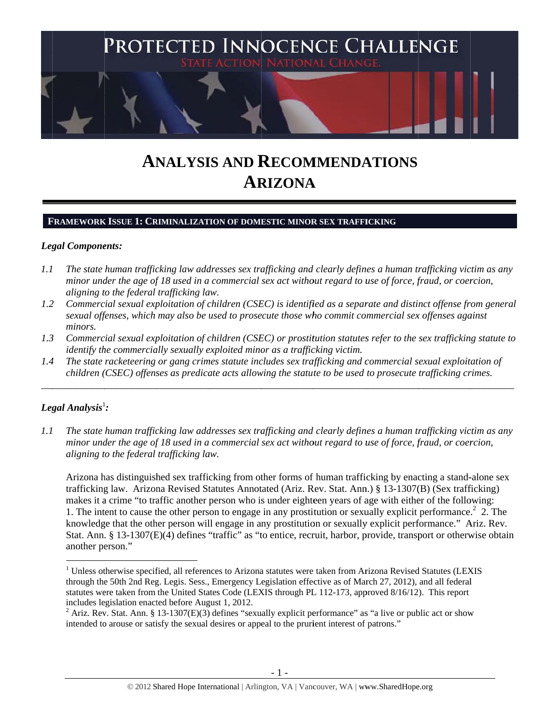

# **ANALYSIS AND RECOMMENDATIONS AR RIZONA A**

### **FRAMEWORK ISSUE 1: CRIMINALIZATION OF DOMESTIC MINOR SEX TRAFFICKING**

## Legal Components:

- *1.1 l* The state human trafficking law addresses sex trafficking and clearly defines a human trafficking victim as any *minor under the age of 18 used in a commercial sex act without regard to use of force, fraud, or coercion, aligning t to the federal trafficking la aw.*
- *1.2* 2 Commercial sexual exploitation of children (CSEC) is identified as a separate and distinct offense from general *sexual offenses, which may also be used to prosecute those who commit commercial sex offenses against minors.*
- *1.3* 3 Commercial sexual exploitation of children (CSEC) or prostitution statutes refer to the sex trafficking statute to *identify the commercially sexually exploited minor as a trafficking victim.*

\_\_\_\_\_\_\_\_\_\_\_\_

\_\_\_\_\_\_\_\_\_\_\_

\_\_\_\_\_\_\_\_\_\_\_

\_\_\_\_\_\_\_\_\_\_\_\_

\_\_\_\_\_\_\_\_\_

*1.4* 4 The state racketeering or gang crimes statute includes sex trafficking and commercial sexual exploitation of *children* (*CSEC*) offenses as predicate acts allowing the statute to be used to prosecute trafficking crimes.

\_\_\_\_\_\_\_\_\_\_\_

## $\bm{\mathit{Legal\ Analysis^1}}$ :

\_\_\_\_\_\_\_\_\_\_\_

\_\_\_\_\_\_\_\_\_\_\_\_

\_\_\_\_\_\_\_\_\_\_\_

 $\overline{\phantom{a}}$ 

*1.1 l* The state human trafficking law addresses sex trafficking and clearly defines a human trafficking victim as any *minor under the age of 18 used in a commercial sex act without regard to use of force, fraud, or coercion, aligning t to the federal trafficking la aw.* 

Arizona has distinguished sex trafficking from other forms of human trafficking by enacting a stand-alone sex trafficking law. Arizona Revised Statutes Annotated (Ariz. Rev. Stat. Ann.) § 13-1307(B) (Sex trafficking) makes it a crime "to traffic another person who is under eighteen years of age with either of the following: 1. The intent to cause the other person to engage in any prostitution or sexually explicit performance.<sup>2</sup> 2. The knowledge that the other person will engage in any prostitution or sexually explicit performance." Ariz. Rev. Stat. Ann. § 13-1307(E)(4) defines "traffic" as "to entice, recruit, harbor, provide, transport or otherwise obtain another person."

 $\overline{a}$ <sup>1</sup> Unless otherwise specified, all references to Arizona statutes were taken from Arizona Revised Statutes (LEXIS through the 50th 2nd Reg. Legis. Sess., Emergency Legislation effective as of March 27, 2012), and all federal statutes were taken from the United States Code (LEXIS through PL 112-173, approved 8/16/12). This report includes legislation enacted before August 1, 2012.<br> $\frac{2}{5}$  Ariz, Boy, Stat, Ann. 8, 12, 1207(E)(2) defines "son  $\overline{a}$  $\overline{a}$ 

Ariz. Rev. Stat. Ann. § 13-1307(E)(3) defines "sexually explicit performance" as "a live or public act or show intended to arouse or satisfy the sexual desires or appeal to the prurient interest of patrons."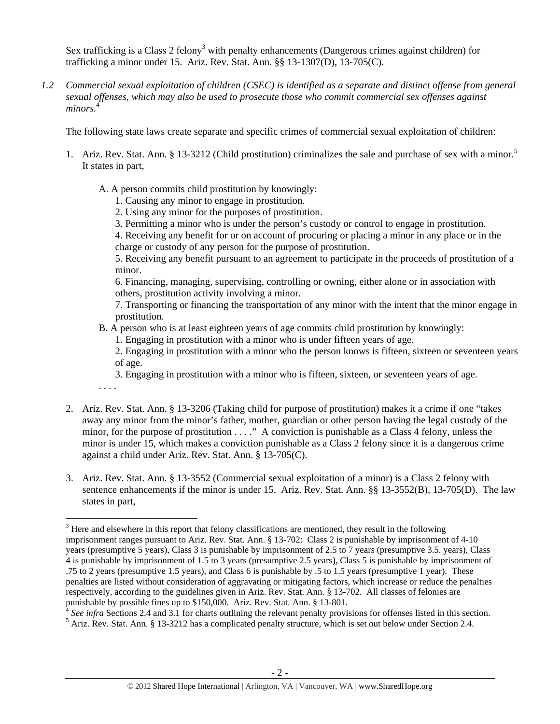Sex trafficking is a Class 2 felony<sup>3</sup> with penalty enhancements (Dangerous crimes against children) for trafficking a minor under 15. Ariz. Rev. Stat. Ann. §§ 13-1307(D), 13-705(C).

*1.2 Commercial sexual exploitation of children (CSEC) is identified as a separate and distinct offense from general sexual offenses, which may also be used to prosecute those who commit commercial sex offenses against*  minors.<sup>4</sup>

The following state laws create separate and specific crimes of commercial sexual exploitation of children:

- 1. Ariz. Rev. Stat. Ann. § 13-3212 (Child prostitution) criminalizes the sale and purchase of sex with a minor.<sup>5</sup> It states in part,
	- A. A person commits child prostitution by knowingly:
		- 1. Causing any minor to engage in prostitution.
		- 2. Using any minor for the purposes of prostitution.
		- 3. Permitting a minor who is under the person's custody or control to engage in prostitution.

4. Receiving any benefit for or on account of procuring or placing a minor in any place or in the charge or custody of any person for the purpose of prostitution.

5. Receiving any benefit pursuant to an agreement to participate in the proceeds of prostitution of a minor.

6. Financing, managing, supervising, controlling or owning, either alone or in association with others, prostitution activity involving a minor.

7. Transporting or financing the transportation of any minor with the intent that the minor engage in prostitution.

B. A person who is at least eighteen years of age commits child prostitution by knowingly:

1. Engaging in prostitution with a minor who is under fifteen years of age.

2. Engaging in prostitution with a minor who the person knows is fifteen, sixteen or seventeen years of age.

3. Engaging in prostitution with a minor who is fifteen, sixteen, or seventeen years of age.

. . . .

- 2. Ariz. Rev. Stat. Ann. § 13-3206 (Taking child for purpose of prostitution) makes it a crime if one "takes away any minor from the minor's father, mother, guardian or other person having the legal custody of the minor, for the purpose of prostitution . . . ." A conviction is punishable as a Class 4 felony, unless the minor is under 15, which makes a conviction punishable as a Class 2 felony since it is a dangerous crime against a child under Ariz. Rev. Stat. Ann. § 13-705(C).
- 3. Ariz. Rev. Stat. Ann. § 13-3552 (Commercial sexual exploitation of a minor) is a Class 2 felony with sentence enhancements if the minor is under 15. Ariz. Rev. Stat. Ann. §§ 13-3552(B), 13-705(D). The law states in part,

 $3$  Here and elsewhere in this report that felony classifications are mentioned, they result in the following imprisonment ranges pursuant to Ariz. Rev. Stat. Ann. § 13-702: Class 2 is punishable by imprisonment of 4-10 years (presumptive 5 years), Class 3 is punishable by imprisonment of 2.5 to 7 years (presumptive 3.5. years), Class 4 is punishable by imprisonment of 1.5 to 3 years (presumptive 2.5 years), Class 5 is punishable by imprisonment of .75 to 2 years (presumptive 1.5 years), and Class 6 is punishable by .5 to 1.5 years (presumptive 1 year). These penalties are listed without consideration of aggravating or mitigating factors, which increase or reduce the penalties respectively, according to the guidelines given in Ariz. Rev. Stat. Ann. § 13-702. All classes of felonies are punishable by possible fines up to \$150,000. Ariz. Rev. Stat. Ann. § 13-801.

<sup>&</sup>lt;sup>4</sup> See infra Sections 2.4 and 3.1 for charts outlining the relevant penalty provisions for offenses listed in this section.

<sup>&</sup>lt;sup>5</sup> Ariz. Rev. Stat. Ann. § 13-3212 has a complicated penalty structure, which is set out below under Section 2.4.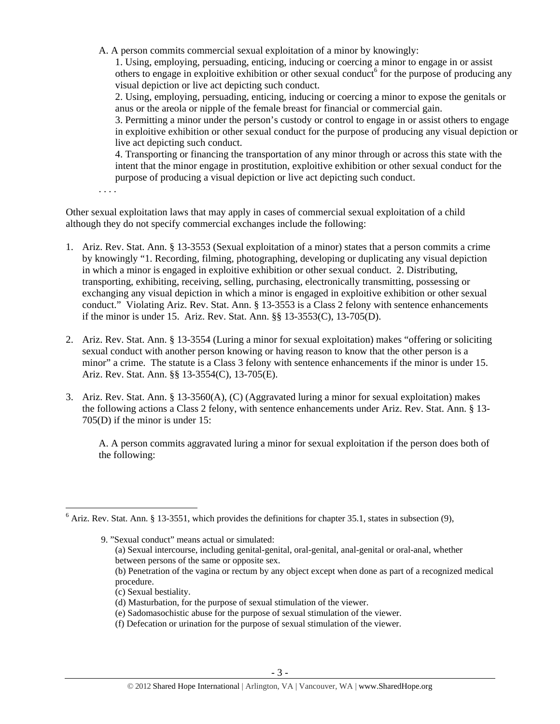A. A person commits commercial sexual exploitation of a minor by knowingly:

1. Using, employing, persuading, enticing, inducing or coercing a minor to engage in or assist others to engage in exploitive exhibition or other sexual conduct<sup>6</sup> for the purpose of producing any visual depiction or live act depicting such conduct.

2. Using, employing, persuading, enticing, inducing or coercing a minor to expose the genitals or anus or the areola or nipple of the female breast for financial or commercial gain.

3. Permitting a minor under the person's custody or control to engage in or assist others to engage in exploitive exhibition or other sexual conduct for the purpose of producing any visual depiction or live act depicting such conduct.

4. Transporting or financing the transportation of any minor through or across this state with the intent that the minor engage in prostitution, exploitive exhibition or other sexual conduct for the purpose of producing a visual depiction or live act depicting such conduct.

. . . .

 $\overline{a}$ 

Other sexual exploitation laws that may apply in cases of commercial sexual exploitation of a child although they do not specify commercial exchanges include the following:

- 1. Ariz. Rev. Stat. Ann. § 13-3553 (Sexual exploitation of a minor) states that a person commits a crime by knowingly "1. Recording, filming, photographing, developing or duplicating any visual depiction in which a minor is engaged in exploitive exhibition or other sexual conduct. 2. Distributing, transporting, exhibiting, receiving, selling, purchasing, electronically transmitting, possessing or exchanging any visual depiction in which a minor is engaged in exploitive exhibition or other sexual conduct." Violating Ariz. Rev. Stat. Ann. § 13-3553 is a Class 2 felony with sentence enhancements if the minor is under 15. Ariz. Rev. Stat. Ann. §§ 13-3553(C), 13-705(D).
- 2. Ariz. Rev. Stat. Ann. § 13-3554 (Luring a minor for sexual exploitation) makes "offering or soliciting sexual conduct with another person knowing or having reason to know that the other person is a minor" a crime. The statute is a Class 3 felony with sentence enhancements if the minor is under 15. Ariz. Rev. Stat. Ann. §§ 13-3554(C), 13-705(E).
- 3. Ariz. Rev. Stat. Ann. § 13-3560(A), (C) (Aggravated luring a minor for sexual exploitation) makes the following actions a Class 2 felony, with sentence enhancements under Ariz. Rev. Stat. Ann. § 13- 705(D) if the minor is under 15:

A. A person commits aggravated luring a minor for sexual exploitation if the person does both of the following:

 $6$  Ariz. Rev. Stat. Ann. § 13-3551, which provides the definitions for chapter 35.1, states in subsection (9),

 <sup>9. &</sup>quot;Sexual conduct" means actual or simulated:

<sup>(</sup>a) Sexual intercourse, including genital-genital, oral-genital, anal-genital or oral-anal, whether between persons of the same or opposite sex.

<sup>(</sup>b) Penetration of the vagina or rectum by any object except when done as part of a recognized medical procedure.

<sup>(</sup>c) Sexual bestiality.

<sup>(</sup>d) Masturbation, for the purpose of sexual stimulation of the viewer.

<sup>(</sup>e) Sadomasochistic abuse for the purpose of sexual stimulation of the viewer.

<sup>(</sup>f) Defecation or urination for the purpose of sexual stimulation of the viewer.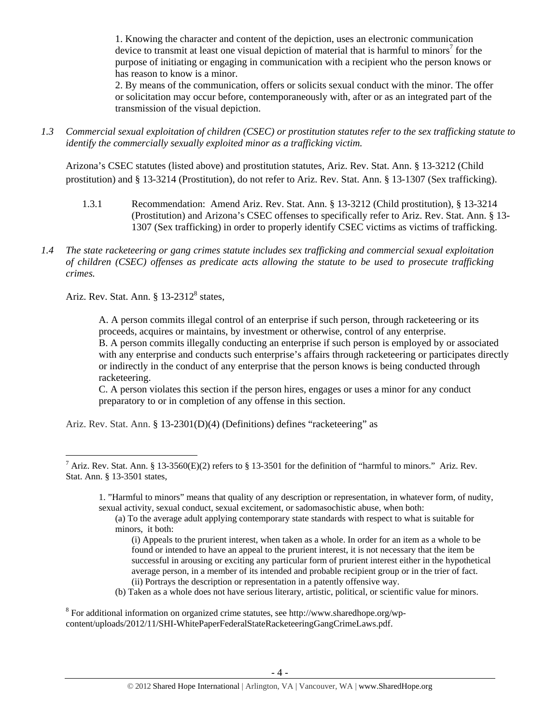1. Knowing the character and content of the depiction, uses an electronic communication device to transmit at least one visual depiction of material that is harmful to minors<sup>7</sup> for the purpose of initiating or engaging in communication with a recipient who the person knows or has reason to know is a minor.

2. By means of the communication, offers or solicits sexual conduct with the minor. The offer or solicitation may occur before, contemporaneously with, after or as an integrated part of the transmission of the visual depiction.

*1.3 Commercial sexual exploitation of children (CSEC) or prostitution statutes refer to the sex trafficking statute to identify the commercially sexually exploited minor as a trafficking victim.* 

Arizona's CSEC statutes (listed above) and prostitution statutes, Ariz. Rev. Stat. Ann. § 13-3212 (Child prostitution) and § 13-3214 (Prostitution), do not refer to Ariz. Rev. Stat. Ann. § 13-1307 (Sex trafficking).

- 1.3.1 Recommendation: Amend Ariz. Rev. Stat. Ann. § 13-3212 (Child prostitution), § 13-3214 (Prostitution) and Arizona's CSEC offenses to specifically refer to Ariz. Rev. Stat. Ann. § 13- 1307 (Sex trafficking) in order to properly identify CSEC victims as victims of trafficking.
- *1.4 The state racketeering or gang crimes statute includes sex trafficking and commercial sexual exploitation of children (CSEC) offenses as predicate acts allowing the statute to be used to prosecute trafficking crimes.*

Ariz. Rev. Stat. Ann.  $\S 13-2312^8$  states,

 $\overline{a}$ 

A. A person commits illegal control of an enterprise if such person, through racketeering or its proceeds, acquires or maintains, by investment or otherwise, control of any enterprise. B. A person commits illegally conducting an enterprise if such person is employed by or associated with any enterprise and conducts such enterprise's affairs through racketeering or participates directly or indirectly in the conduct of any enterprise that the person knows is being conducted through racketeering.

C. A person violates this section if the person hires, engages or uses a minor for any conduct preparatory to or in completion of any offense in this section.

Ariz. Rev. Stat. Ann. § 13-2301(D)(4) (Definitions) defines "racketeering" as

- (i) Appeals to the prurient interest, when taken as a whole. In order for an item as a whole to be found or intended to have an appeal to the prurient interest, it is not necessary that the item be successful in arousing or exciting any particular form of prurient interest either in the hypothetical average person, in a member of its intended and probable recipient group or in the trier of fact. (ii) Portrays the description or representation in a patently offensive way.
- (b) Taken as a whole does not have serious literary, artistic, political, or scientific value for minors.

<sup>8</sup> For additional information on organized crime statutes, see http://www.sharedhope.org/wpcontent/uploads/2012/11/SHI-WhitePaperFederalStateRacketeeringGangCrimeLaws.pdf.

<sup>&</sup>lt;sup>7</sup> Ariz. Rev. Stat. Ann. § 13-3560(E)(2) refers to § 13-3501 for the definition of "harmful to minors." Ariz. Rev. Stat. Ann. § 13-3501 states,

<sup>1. &</sup>quot;Harmful to minors" means that quality of any description or representation, in whatever form, of nudity, sexual activity, sexual conduct, sexual excitement, or sadomasochistic abuse, when both:

<sup>(</sup>a) To the average adult applying contemporary state standards with respect to what is suitable for minors, it both: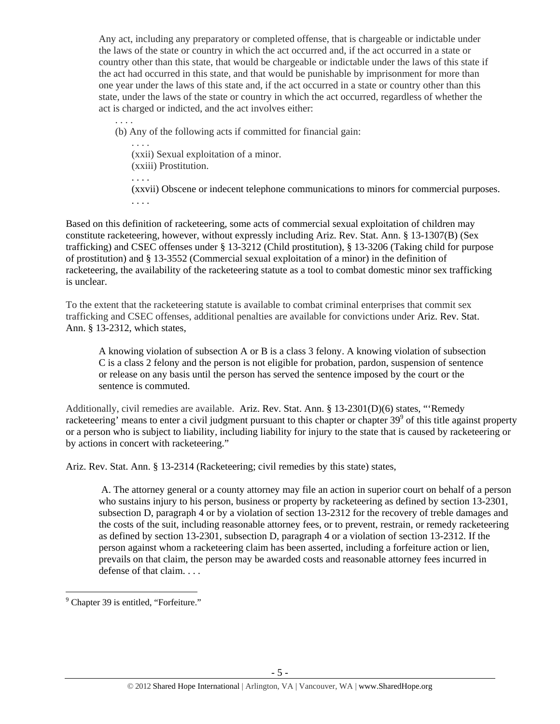Any act, including any preparatory or completed offense, that is chargeable or indictable under the laws of the state or country in which the act occurred and, if the act occurred in a state or country other than this state, that would be chargeable or indictable under the laws of this state if the act had occurred in this state, and that would be punishable by imprisonment for more than one year under the laws of this state and, if the act occurred in a state or country other than this state, under the laws of the state or country in which the act occurred, regardless of whether the act is charged or indicted, and the act involves either:

. . . . (b) Any of the following acts if committed for financial gain:

 . . . . (xxii) Sexual exploitation of a minor. (xxiii) Prostitution.

. . . .

(xxvii) Obscene or indecent telephone communications to minors for commercial purposes. . . . .

Based on this definition of racketeering, some acts of commercial sexual exploitation of children may constitute racketeering, however, without expressly including Ariz. Rev. Stat. Ann. § 13-1307(B) (Sex trafficking) and CSEC offenses under § 13-3212 (Child prostitution), § 13-3206 (Taking child for purpose of prostitution) and § 13-3552 (Commercial sexual exploitation of a minor) in the definition of racketeering, the availability of the racketeering statute as a tool to combat domestic minor sex trafficking is unclear.

To the extent that the racketeering statute is available to combat criminal enterprises that commit sex trafficking and CSEC offenses, additional penalties are available for convictions under Ariz. Rev. Stat. Ann. § 13-2312, which states,

A knowing violation of subsection A or B is a class 3 felony. A knowing violation of subsection C is a class 2 felony and the person is not eligible for probation, pardon, suspension of sentence or release on any basis until the person has served the sentence imposed by the court or the sentence is commuted.

Additionally, civil remedies are available. Ariz. Rev. Stat. Ann. § 13-2301(D)(6) states, "'Remedy racketeering' means to enter a civil judgment pursuant to this chapter or chapter  $39^9$  of this title against property or a person who is subject to liability, including liability for injury to the state that is caused by racketeering or by actions in concert with racketeering."

Ariz. Rev. Stat. Ann. § 13-2314 (Racketeering; civil remedies by this state) states,

 A. The attorney general or a county attorney may file an action in superior court on behalf of a person who sustains injury to his person, business or property by racketeering as defined by section 13-2301, subsection D, paragraph 4 or by a violation of section 13-2312 for the recovery of treble damages and the costs of the suit, including reasonable attorney fees, or to prevent, restrain, or remedy racketeering as defined by section 13-2301, subsection D, paragraph 4 or a violation of section 13-2312. If the person against whom a racketeering claim has been asserted, including a forfeiture action or lien, prevails on that claim, the person may be awarded costs and reasonable attorney fees incurred in defense of that claim. . . .

 9 Chapter 39 is entitled, "Forfeiture."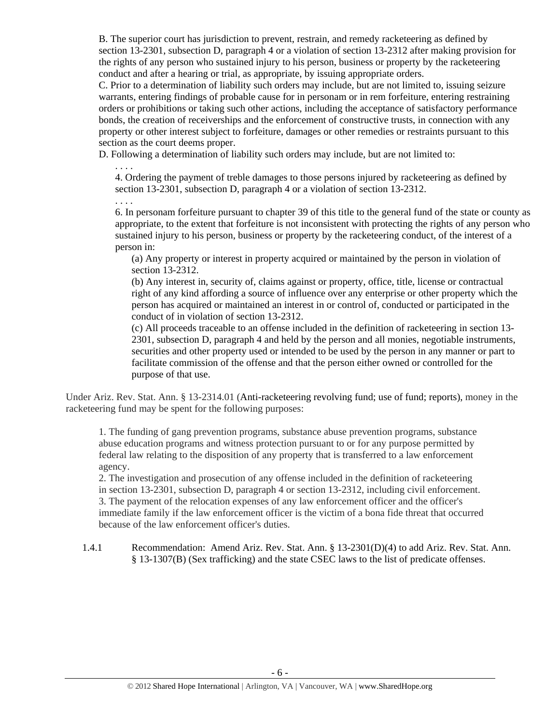B. The superior court has jurisdiction to prevent, restrain, and remedy racketeering as defined by section 13-2301, subsection D, paragraph 4 or a violation of section 13-2312 after making provision for the rights of any person who sustained injury to his person, business or property by the racketeering conduct and after a hearing or trial, as appropriate, by issuing appropriate orders.

C. Prior to a determination of liability such orders may include, but are not limited to, issuing seizure warrants, entering findings of probable cause for in personam or in rem forfeiture, entering restraining orders or prohibitions or taking such other actions, including the acceptance of satisfactory performance bonds, the creation of receiverships and the enforcement of constructive trusts, in connection with any property or other interest subject to forfeiture, damages or other remedies or restraints pursuant to this section as the court deems proper.

D. Following a determination of liability such orders may include, but are not limited to:

. . . .

4. Ordering the payment of treble damages to those persons injured by racketeering as defined by section 13-2301, subsection D, paragraph 4 or a violation of section 13-2312.

. . . . 6. In personam forfeiture pursuant to chapter 39 of this title to the general fund of the state or county as appropriate, to the extent that forfeiture is not inconsistent with protecting the rights of any person who sustained injury to his person, business or property by the racketeering conduct, of the interest of a person in:

(a) Any property or interest in property acquired or maintained by the person in violation of section 13-2312.

(b) Any interest in, security of, claims against or property, office, title, license or contractual right of any kind affording a source of influence over any enterprise or other property which the person has acquired or maintained an interest in or control of, conducted or participated in the conduct of in violation of section 13-2312.

(c) All proceeds traceable to an offense included in the definition of racketeering in section 13- 2301, subsection D, paragraph 4 and held by the person and all monies, negotiable instruments, securities and other property used or intended to be used by the person in any manner or part to facilitate commission of the offense and that the person either owned or controlled for the purpose of that use.

Under Ariz. Rev. Stat. Ann. § 13-2314.01 (Anti-racketeering revolving fund; use of fund; reports), money in the racketeering fund may be spent for the following purposes:

1. The funding of gang prevention programs, substance abuse prevention programs, substance abuse education programs and witness protection pursuant to or for any purpose permitted by federal law relating to the disposition of any property that is transferred to a law enforcement agency.

2. The investigation and prosecution of any offense included in the definition of racketeering in section 13-2301, subsection D, paragraph 4 or section 13-2312, including civil enforcement. 3. The payment of the relocation expenses of any law enforcement officer and the officer's immediate family if the law enforcement officer is the victim of a bona fide threat that occurred because of the law enforcement officer's duties.

1.4.1 Recommendation: Amend Ariz. Rev. Stat. Ann. § 13-2301(D)(4) to add Ariz. Rev. Stat. Ann. § 13-1307(B) (Sex trafficking) and the state CSEC laws to the list of predicate offenses.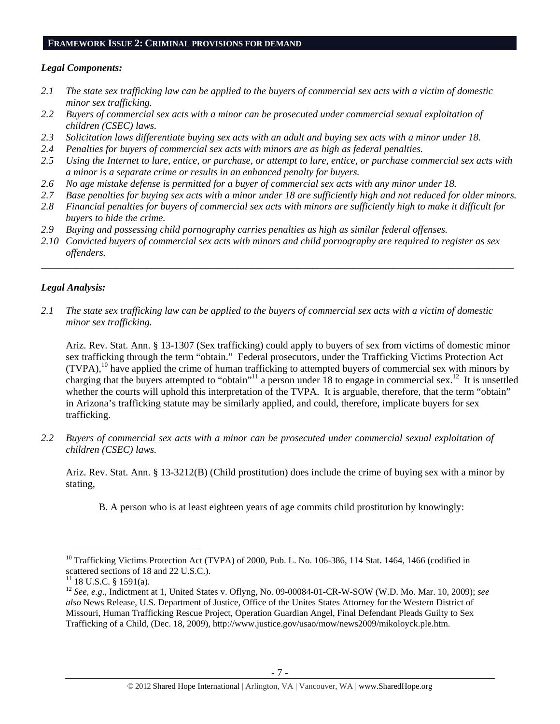#### **FRAMEWORK ISSUE 2: CRIMINAL PROVISIONS FOR DEMAND**

#### *Legal Components:*

- *2.1 The state sex trafficking law can be applied to the buyers of commercial sex acts with a victim of domestic minor sex trafficking.*
- *2.2 Buyers of commercial sex acts with a minor can be prosecuted under commercial sexual exploitation of children (CSEC) laws.*
- *2.3 Solicitation laws differentiate buying sex acts with an adult and buying sex acts with a minor under 18.*
- *2.4 Penalties for buyers of commercial sex acts with minors are as high as federal penalties.*
- *2.5 Using the Internet to lure, entice, or purchase, or attempt to lure, entice, or purchase commercial sex acts with a minor is a separate crime or results in an enhanced penalty for buyers.*
- *2.6 No age mistake defense is permitted for a buyer of commercial sex acts with any minor under 18.*
- *2.7 Base penalties for buying sex acts with a minor under 18 are sufficiently high and not reduced for older minors.*
- *2.8 Financial penalties for buyers of commercial sex acts with minors are sufficiently high to make it difficult for buyers to hide the crime.*
- *2.9 Buying and possessing child pornography carries penalties as high as similar federal offenses.*
- *2.10 Convicted buyers of commercial sex acts with minors and child pornography are required to register as sex offenders.*

\_\_\_\_\_\_\_\_\_\_\_\_\_\_\_\_\_\_\_\_\_\_\_\_\_\_\_\_\_\_\_\_\_\_\_\_\_\_\_\_\_\_\_\_\_\_\_\_\_\_\_\_\_\_\_\_\_\_\_\_\_\_\_\_\_\_\_\_\_\_\_\_\_\_\_\_\_\_\_\_\_\_\_\_\_\_\_\_\_\_\_\_\_\_

## *Legal Analysis:*

*2.1 The state sex trafficking law can be applied to the buyers of commercial sex acts with a victim of domestic minor sex trafficking.* 

Ariz. Rev. Stat. Ann. § 13-1307 (Sex trafficking) could apply to buyers of sex from victims of domestic minor sex trafficking through the term "obtain." Federal prosecutors, under the Trafficking Victims Protection Act  $(TVPA)$ ,<sup>10</sup> have applied the crime of human trafficking to attempted buyers of commercial sex with minors by charging that the buyers attempted to "obtain"<sup>11</sup> a person under 18 to engage in commercial sex.<sup>12</sup> It is unsettled whether the courts will uphold this interpretation of the TVPA. It is arguable, therefore, that the term "obtain" in Arizona's trafficking statute may be similarly applied, and could, therefore, implicate buyers for sex trafficking.

*2.2 Buyers of commercial sex acts with a minor can be prosecuted under commercial sexual exploitation of children (CSEC) laws.* 

Ariz. Rev. Stat. Ann. § 13-3212(B) (Child prostitution) does include the crime of buying sex with a minor by stating,

B. A person who is at least eighteen years of age commits child prostitution by knowingly:

 $10$  Trafficking Victims Protection Act (TVPA) of 2000, Pub. L. No. 106-386, 114 Stat. 1464, 1466 (codified in scattered sections of 18 and 22 U.S.C.).

 $11$  18 U.S.C. § 1591(a).

<sup>12</sup> *See, e.g*., Indictment at 1, United States v. Oflyng, No. 09-00084-01-CR-W-SOW (W.D. Mo. Mar. 10, 2009); *see also* News Release, U.S. Department of Justice, Office of the Unites States Attorney for the Western District of Missouri, Human Trafficking Rescue Project, Operation Guardian Angel, Final Defendant Pleads Guilty to Sex Trafficking of a Child, (Dec. 18, 2009), http://www.justice.gov/usao/mow/news2009/mikoloyck.ple.htm.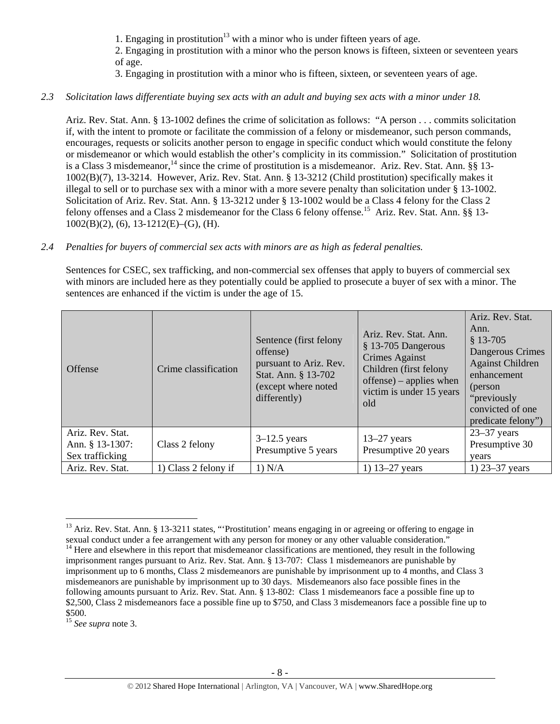1. Engaging in prostitution<sup>13</sup> with a minor who is under fifteen years of age.

2. Engaging in prostitution with a minor who the person knows is fifteen, sixteen or seventeen years of age.

3. Engaging in prostitution with a minor who is fifteen, sixteen, or seventeen years of age.

## *2.3 Solicitation laws differentiate buying sex acts with an adult and buying sex acts with a minor under 18.*

Ariz. Rev. Stat. Ann. § 13-1002 defines the crime of solicitation as follows: "A person . . . commits solicitation if, with the intent to promote or facilitate the commission of a felony or misdemeanor, such person commands, encourages, requests or solicits another person to engage in specific conduct which would constitute the felony or misdemeanor or which would establish the other's complicity in its commission." Solicitation of prostitution is a Class 3 misdemeanor,<sup>14</sup> since the crime of prostitution is a misdemeanor. Ariz. Rev. Stat. Ann. §§ 13-1002(B)(7), 13-3214. However, Ariz. Rev. Stat. Ann. § 13-3212 (Child prostitution) specifically makes it illegal to sell or to purchase sex with a minor with a more severe penalty than solicitation under § 13-1002. Solicitation of Ariz. Rev. Stat. Ann. § 13-3212 under § 13-1002 would be a Class 4 felony for the Class 2 felony offenses and a Class 2 misdemeanor for the Class 6 felony offense.<sup>15</sup> Ariz. Rev. Stat. Ann. §§ 13-1002(B)(2), (6), 13-1212(E)–(G), (H).

### *2.4 Penalties for buyers of commercial sex acts with minors are as high as federal penalties.*

Sentences for CSEC, sex trafficking, and non-commercial sex offenses that apply to buyers of commercial sex with minors are included here as they potentially could be applied to prosecute a buyer of sex with a minor. The sentences are enhanced if the victim is under the age of 15.

| <b>Offense</b>                                         | Crime classification | Sentence (first felony<br>offense)<br>pursuant to Ariz. Rev.<br>Stat. Ann. § 13-702<br>(except where noted<br>differently) | Ariz, Rev. Stat, Ann.<br>$§$ 13-705 Dangerous<br>Crimes Against<br>Children (first felony<br>$offense$ ) – applies when<br>victim is under 15 years<br>old | Ariz. Rev. Stat.<br>Ann.<br>$$13-705$<br>Dangerous Crimes<br><b>Against Children</b><br>enhancement<br>(person<br>"previously<br>convicted of one<br>predicate felony") |
|--------------------------------------------------------|----------------------|----------------------------------------------------------------------------------------------------------------------------|------------------------------------------------------------------------------------------------------------------------------------------------------------|-------------------------------------------------------------------------------------------------------------------------------------------------------------------------|
| Ariz. Rev. Stat.<br>Ann. § 13-1307:<br>Sex trafficking | Class 2 felony       | $3-12.5$ years<br>Presumptive 5 years                                                                                      | $13-27$ years<br>Presumptive 20 years                                                                                                                      | $23-37$ years<br>Presumptive 30<br>vears                                                                                                                                |
| Ariz. Rev. Stat.                                       | 1) Class 2 felony if | 1) N/A                                                                                                                     | 1) $13 - 27$ years                                                                                                                                         | 1) $23 - 37$ years                                                                                                                                                      |

 $\overline{a}$ <sup>13</sup> Ariz. Rev. Stat. Ann. § 13-3211 states, "Prostitution' means engaging in or agreeing or offering to engage in sexual conduct under a fee arrangement with any person for money or any other valuable consideration."  $<sup>14</sup>$  Here and elsewhere in this report that misdemeanor classifications are mentioned, they result in the following</sup> imprisonment ranges pursuant to Ariz. Rev. Stat. Ann. § 13-707: Class 1 misdemeanors are punishable by imprisonment up to 6 months, Class 2 misdemeanors are punishable by imprisonment up to 4 months, and Class 3 misdemeanors are punishable by imprisonment up to 30 days. Misdemeanors also face possible fines in the following amounts pursuant to Ariz. Rev. Stat. Ann. § 13-802: Class 1 misdemeanors face a possible fine up to \$2,500, Class 2 misdemeanors face a possible fine up to \$750, and Class 3 misdemeanors face a possible fine up to \$500.

<sup>15</sup> *See supra* note 3.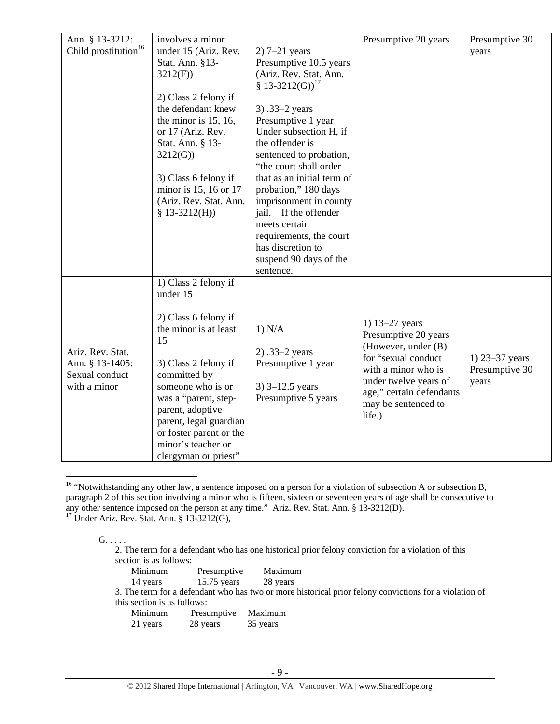| Child prostitution <sup>16</sup><br>under 15 (Ariz. Rev.<br>$2)$ 7-21 years<br>years<br>Presumptive 10.5 years<br>Stat. Ann. §13-<br>(Ariz. Rev. Stat. Ann.<br>3212(F)<br>§ 13-3212(G)) <sup>17</sup><br>2) Class 2 felony if<br>the defendant knew<br>3) .33–2 years<br>the minor is $15, 16$ ,<br>Presumptive 1 year<br>Under subsection H, if<br>or 17 (Ariz. Rev.<br>the offender is<br>Stat. Ann. § 13-<br>3212(G)<br>sentenced to probation,<br>"the court shall order<br>that as an initial term of<br>3) Class 6 felony if<br>minor is 15, 16 or 17<br>probation," 180 days<br>(Ariz. Rev. Stat. Ann.<br>imprisonment in county<br>jail. If the offender<br>$$13-3212(H))$<br>meets certain<br>requirements, the court<br>has discretion to<br>suspend 90 days of the<br>sentence.<br>1) Class 2 felony if<br>under 15<br>2) Class 6 felony if<br>1) 13–27 years<br>the minor is at least<br>1) N/A<br>Presumptive 20 years<br>15<br>(However, under (B)<br>Ariz. Rev. Stat.<br>$2) .33-2 years$<br>for "sexual conduct<br>1) 23-37 years<br>Ann. § 13-1405:<br>Presumptive 1 year<br>3) Class 2 felony if<br>with a minor who is<br>Presumptive 30<br>Sexual conduct<br>committed by<br>under twelve years of<br>years<br>with a minor<br>someone who is or<br>$3)$ 3–12.5 years<br>age," certain defendants<br>was a "parent, step-<br>Presumptive 5 years<br>may be sentenced to<br>parent, adoptive<br>life.)<br>parent, legal guardian<br>or foster parent or the<br>minor's teacher or | Ann. § 13-3212: | involves a minor | Presumptive 20 years | Presumptive 30 |
|------------------------------------------------------------------------------------------------------------------------------------------------------------------------------------------------------------------------------------------------------------------------------------------------------------------------------------------------------------------------------------------------------------------------------------------------------------------------------------------------------------------------------------------------------------------------------------------------------------------------------------------------------------------------------------------------------------------------------------------------------------------------------------------------------------------------------------------------------------------------------------------------------------------------------------------------------------------------------------------------------------------------------------------------------------------------------------------------------------------------------------------------------------------------------------------------------------------------------------------------------------------------------------------------------------------------------------------------------------------------------------------------------------------------------------------------------------------------------------------------------|-----------------|------------------|----------------------|----------------|
|                                                                                                                                                                                                                                                                                                                                                                                                                                                                                                                                                                                                                                                                                                                                                                                                                                                                                                                                                                                                                                                                                                                                                                                                                                                                                                                                                                                                                                                                                                      |                 |                  |                      |                |
|                                                                                                                                                                                                                                                                                                                                                                                                                                                                                                                                                                                                                                                                                                                                                                                                                                                                                                                                                                                                                                                                                                                                                                                                                                                                                                                                                                                                                                                                                                      |                 |                  |                      |                |
|                                                                                                                                                                                                                                                                                                                                                                                                                                                                                                                                                                                                                                                                                                                                                                                                                                                                                                                                                                                                                                                                                                                                                                                                                                                                                                                                                                                                                                                                                                      |                 |                  |                      |                |
|                                                                                                                                                                                                                                                                                                                                                                                                                                                                                                                                                                                                                                                                                                                                                                                                                                                                                                                                                                                                                                                                                                                                                                                                                                                                                                                                                                                                                                                                                                      |                 |                  |                      |                |
|                                                                                                                                                                                                                                                                                                                                                                                                                                                                                                                                                                                                                                                                                                                                                                                                                                                                                                                                                                                                                                                                                                                                                                                                                                                                                                                                                                                                                                                                                                      |                 |                  |                      |                |
|                                                                                                                                                                                                                                                                                                                                                                                                                                                                                                                                                                                                                                                                                                                                                                                                                                                                                                                                                                                                                                                                                                                                                                                                                                                                                                                                                                                                                                                                                                      |                 |                  |                      |                |
|                                                                                                                                                                                                                                                                                                                                                                                                                                                                                                                                                                                                                                                                                                                                                                                                                                                                                                                                                                                                                                                                                                                                                                                                                                                                                                                                                                                                                                                                                                      |                 |                  |                      |                |
|                                                                                                                                                                                                                                                                                                                                                                                                                                                                                                                                                                                                                                                                                                                                                                                                                                                                                                                                                                                                                                                                                                                                                                                                                                                                                                                                                                                                                                                                                                      |                 |                  |                      |                |
|                                                                                                                                                                                                                                                                                                                                                                                                                                                                                                                                                                                                                                                                                                                                                                                                                                                                                                                                                                                                                                                                                                                                                                                                                                                                                                                                                                                                                                                                                                      |                 |                  |                      |                |
|                                                                                                                                                                                                                                                                                                                                                                                                                                                                                                                                                                                                                                                                                                                                                                                                                                                                                                                                                                                                                                                                                                                                                                                                                                                                                                                                                                                                                                                                                                      |                 |                  |                      |                |
|                                                                                                                                                                                                                                                                                                                                                                                                                                                                                                                                                                                                                                                                                                                                                                                                                                                                                                                                                                                                                                                                                                                                                                                                                                                                                                                                                                                                                                                                                                      |                 |                  |                      |                |
|                                                                                                                                                                                                                                                                                                                                                                                                                                                                                                                                                                                                                                                                                                                                                                                                                                                                                                                                                                                                                                                                                                                                                                                                                                                                                                                                                                                                                                                                                                      |                 |                  |                      |                |
|                                                                                                                                                                                                                                                                                                                                                                                                                                                                                                                                                                                                                                                                                                                                                                                                                                                                                                                                                                                                                                                                                                                                                                                                                                                                                                                                                                                                                                                                                                      |                 |                  |                      |                |
|                                                                                                                                                                                                                                                                                                                                                                                                                                                                                                                                                                                                                                                                                                                                                                                                                                                                                                                                                                                                                                                                                                                                                                                                                                                                                                                                                                                                                                                                                                      |                 |                  |                      |                |
|                                                                                                                                                                                                                                                                                                                                                                                                                                                                                                                                                                                                                                                                                                                                                                                                                                                                                                                                                                                                                                                                                                                                                                                                                                                                                                                                                                                                                                                                                                      |                 |                  |                      |                |
|                                                                                                                                                                                                                                                                                                                                                                                                                                                                                                                                                                                                                                                                                                                                                                                                                                                                                                                                                                                                                                                                                                                                                                                                                                                                                                                                                                                                                                                                                                      |                 |                  |                      |                |
|                                                                                                                                                                                                                                                                                                                                                                                                                                                                                                                                                                                                                                                                                                                                                                                                                                                                                                                                                                                                                                                                                                                                                                                                                                                                                                                                                                                                                                                                                                      |                 |                  |                      |                |
|                                                                                                                                                                                                                                                                                                                                                                                                                                                                                                                                                                                                                                                                                                                                                                                                                                                                                                                                                                                                                                                                                                                                                                                                                                                                                                                                                                                                                                                                                                      |                 |                  |                      |                |
|                                                                                                                                                                                                                                                                                                                                                                                                                                                                                                                                                                                                                                                                                                                                                                                                                                                                                                                                                                                                                                                                                                                                                                                                                                                                                                                                                                                                                                                                                                      |                 |                  |                      |                |
|                                                                                                                                                                                                                                                                                                                                                                                                                                                                                                                                                                                                                                                                                                                                                                                                                                                                                                                                                                                                                                                                                                                                                                                                                                                                                                                                                                                                                                                                                                      |                 |                  |                      |                |
|                                                                                                                                                                                                                                                                                                                                                                                                                                                                                                                                                                                                                                                                                                                                                                                                                                                                                                                                                                                                                                                                                                                                                                                                                                                                                                                                                                                                                                                                                                      |                 |                  |                      |                |
|                                                                                                                                                                                                                                                                                                                                                                                                                                                                                                                                                                                                                                                                                                                                                                                                                                                                                                                                                                                                                                                                                                                                                                                                                                                                                                                                                                                                                                                                                                      |                 |                  |                      |                |
|                                                                                                                                                                                                                                                                                                                                                                                                                                                                                                                                                                                                                                                                                                                                                                                                                                                                                                                                                                                                                                                                                                                                                                                                                                                                                                                                                                                                                                                                                                      |                 |                  |                      |                |
|                                                                                                                                                                                                                                                                                                                                                                                                                                                                                                                                                                                                                                                                                                                                                                                                                                                                                                                                                                                                                                                                                                                                                                                                                                                                                                                                                                                                                                                                                                      |                 |                  |                      |                |
|                                                                                                                                                                                                                                                                                                                                                                                                                                                                                                                                                                                                                                                                                                                                                                                                                                                                                                                                                                                                                                                                                                                                                                                                                                                                                                                                                                                                                                                                                                      |                 |                  |                      |                |
|                                                                                                                                                                                                                                                                                                                                                                                                                                                                                                                                                                                                                                                                                                                                                                                                                                                                                                                                                                                                                                                                                                                                                                                                                                                                                                                                                                                                                                                                                                      |                 |                  |                      |                |
|                                                                                                                                                                                                                                                                                                                                                                                                                                                                                                                                                                                                                                                                                                                                                                                                                                                                                                                                                                                                                                                                                                                                                                                                                                                                                                                                                                                                                                                                                                      |                 |                  |                      |                |
|                                                                                                                                                                                                                                                                                                                                                                                                                                                                                                                                                                                                                                                                                                                                                                                                                                                                                                                                                                                                                                                                                                                                                                                                                                                                                                                                                                                                                                                                                                      |                 |                  |                      |                |
|                                                                                                                                                                                                                                                                                                                                                                                                                                                                                                                                                                                                                                                                                                                                                                                                                                                                                                                                                                                                                                                                                                                                                                                                                                                                                                                                                                                                                                                                                                      |                 |                  |                      |                |
|                                                                                                                                                                                                                                                                                                                                                                                                                                                                                                                                                                                                                                                                                                                                                                                                                                                                                                                                                                                                                                                                                                                                                                                                                                                                                                                                                                                                                                                                                                      |                 |                  |                      |                |
|                                                                                                                                                                                                                                                                                                                                                                                                                                                                                                                                                                                                                                                                                                                                                                                                                                                                                                                                                                                                                                                                                                                                                                                                                                                                                                                                                                                                                                                                                                      |                 |                  |                      |                |
|                                                                                                                                                                                                                                                                                                                                                                                                                                                                                                                                                                                                                                                                                                                                                                                                                                                                                                                                                                                                                                                                                                                                                                                                                                                                                                                                                                                                                                                                                                      |                 |                  |                      |                |
|                                                                                                                                                                                                                                                                                                                                                                                                                                                                                                                                                                                                                                                                                                                                                                                                                                                                                                                                                                                                                                                                                                                                                                                                                                                                                                                                                                                                                                                                                                      |                 |                  |                      |                |
|                                                                                                                                                                                                                                                                                                                                                                                                                                                                                                                                                                                                                                                                                                                                                                                                                                                                                                                                                                                                                                                                                                                                                                                                                                                                                                                                                                                                                                                                                                      |                 |                  |                      |                |
| clergyman or priest"                                                                                                                                                                                                                                                                                                                                                                                                                                                                                                                                                                                                                                                                                                                                                                                                                                                                                                                                                                                                                                                                                                                                                                                                                                                                                                                                                                                                                                                                                 |                 |                  |                      |                |

<sup>&</sup>lt;sup>16</sup> "Notwithstanding any other law, a sentence imposed on a person for a violation of subsection A or subsection B, paragraph 2 of this section involving a minor who is fifteen, sixteen or seventeen years of age shall be consecutive to any other sentence imposed on the person at any time." Ariz. Rev. Stat. Ann. § 13-3212(D).

 $17$  Under Ariz. Rev. Stat. Ann. § 13-3212(G),

## $G. \ldots$  .

 $\overline{a}$ 

2. The term for a defendant who has one historical prior felony conviction for a violation of this section is as follows:

| Minimum                                               | Presumptive   | Maximum  |
|-------------------------------------------------------|---------------|----------|
| 14 years                                              | $15.75$ years | 28 years |
| 3. The term for a defendant who has two or more histo |               |          |

3. The term for a defendant who has two or more historical prior felony convictions for a violation of this section is as follows:

| Minimum  | Presumptive | Maximum  |
|----------|-------------|----------|
| 21 years | 28 years    | 35 years |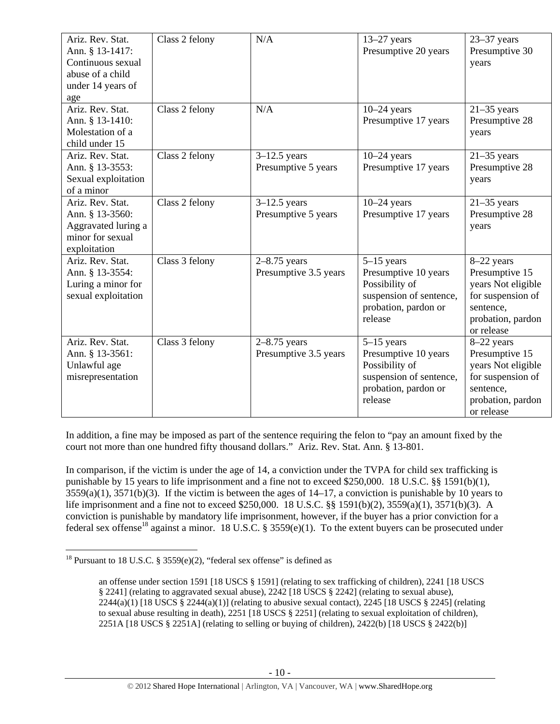| Ariz. Rev. Stat.<br>Ann. § 13-1417:<br>Continuous sexual<br>abuse of a child<br>under 14 years of<br>age | Class 2 felony | N/A                                     | $13-27$ years<br>Presumptive 20 years                                                                                | $23-37$ years<br>Presumptive 30<br>years                                                                                |
|----------------------------------------------------------------------------------------------------------|----------------|-----------------------------------------|----------------------------------------------------------------------------------------------------------------------|-------------------------------------------------------------------------------------------------------------------------|
| Ariz. Rev. Stat.<br>Ann. § 13-1410:<br>Molestation of a<br>child under 15                                | Class 2 felony | N/A                                     | $10-24$ years<br>Presumptive 17 years                                                                                | $21-35$ years<br>Presumptive 28<br>years                                                                                |
| Ariz. Rev. Stat.<br>Ann. § 13-3553:<br>Sexual exploitation<br>of a minor                                 | Class 2 felony | $3-12.5$ years<br>Presumptive 5 years   | $10-24$ years<br>Presumptive 17 years                                                                                | $21-35$ years<br>Presumptive 28<br>years                                                                                |
| Ariz. Rev. Stat.<br>Ann. § 13-3560:<br>Aggravated luring a<br>minor for sexual<br>exploitation           | Class 2 felony | $3-12.5$ years<br>Presumptive 5 years   | $10-24$ years<br>Presumptive 17 years                                                                                | $21-35$ years<br>Presumptive 28<br>years                                                                                |
| Ariz. Rev. Stat.<br>Ann. § 13-3554:<br>Luring a minor for<br>sexual exploitation                         | Class 3 felony | $2-8.75$ years<br>Presumptive 3.5 years | $5-15$ years<br>Presumptive 10 years<br>Possibility of<br>suspension of sentence,<br>probation, pardon or<br>release | 8-22 years<br>Presumptive 15<br>years Not eligible<br>for suspension of<br>sentence,<br>probation, pardon<br>or release |
| Ariz. Rev. Stat.<br>Ann. § 13-3561:<br>Unlawful age<br>misrepresentation                                 | Class 3 felony | $2-8.75$ years<br>Presumptive 3.5 years | $5-15$ years<br>Presumptive 10 years<br>Possibility of<br>suspension of sentence,<br>probation, pardon or<br>release | 8-22 years<br>Presumptive 15<br>years Not eligible<br>for suspension of<br>sentence,<br>probation, pardon<br>or release |

In addition, a fine may be imposed as part of the sentence requiring the felon to "pay an amount fixed by the court not more than one hundred fifty thousand dollars." Ariz. Rev. Stat. Ann. § 13-801.

In comparison, if the victim is under the age of 14, a conviction under the TVPA for child sex trafficking is punishable by 15 years to life imprisonment and a fine not to exceed \$250,000. 18 U.S.C. §§ 1591(b)(1),  $3559(a)(1)$ ,  $3571(b)(3)$ . If the victim is between the ages of  $14-17$ , a conviction is punishable by 10 years to life imprisonment and a fine not to exceed \$250,000. 18 U.S.C. §§ 1591(b)(2), 3559(a)(1), 3571(b)(3). A conviction is punishable by mandatory life imprisonment, however, if the buyer has a prior conviction for a federal sex offense<sup>18</sup> against a minor. 18 U.S.C. § 3559(e)(1). To the extent buyers can be prosecuted under

 $\overline{a}$ <sup>18</sup> Pursuant to 18 U.S.C. § 3559 $(e)(2)$ , "federal sex offense" is defined as

an offense under section 1591 [18 USCS § 1591] (relating to sex trafficking of children), 2241 [18 USCS § 2241] (relating to aggravated sexual abuse), 2242 [18 USCS § 2242] (relating to sexual abuse),  $2244(a)(1)$  [18 USCS §  $2244(a)(1)$ ] (relating to abusive sexual contact),  $2245$  [18 USCS § 2245] (relating to sexual abuse resulting in death), 2251 [18 USCS § 2251] (relating to sexual exploitation of children), 2251A [18 USCS § 2251A] (relating to selling or buying of children), 2422(b) [18 USCS § 2422(b)]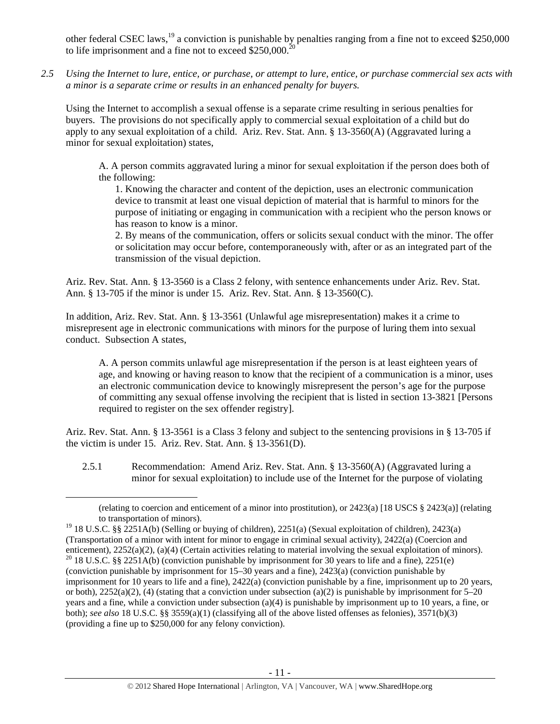other federal CSEC laws,<sup>19</sup> a conviction is punishable by penalties ranging from a fine not to exceed \$250,000 to life imprisonment and a fine not to exceed  $$250,000.<sup>2</sup>$ 

*2.5 Using the Internet to lure, entice, or purchase, or attempt to lure, entice, or purchase commercial sex acts with a minor is a separate crime or results in an enhanced penalty for buyers.* 

Using the Internet to accomplish a sexual offense is a separate crime resulting in serious penalties for buyers. The provisions do not specifically apply to commercial sexual exploitation of a child but do apply to any sexual exploitation of a child. Ariz. Rev. Stat. Ann. § 13-3560(A) (Aggravated luring a minor for sexual exploitation) states,

A. A person commits aggravated luring a minor for sexual exploitation if the person does both of the following:

1. Knowing the character and content of the depiction, uses an electronic communication device to transmit at least one visual depiction of material that is harmful to minors for the purpose of initiating or engaging in communication with a recipient who the person knows or has reason to know is a minor.

2. By means of the communication, offers or solicits sexual conduct with the minor. The offer or solicitation may occur before, contemporaneously with, after or as an integrated part of the transmission of the visual depiction.

Ariz. Rev. Stat. Ann. § 13-3560 is a Class 2 felony, with sentence enhancements under Ariz. Rev. Stat. Ann. § 13-705 if the minor is under 15. Ariz. Rev. Stat. Ann. § 13-3560(C).

In addition, Ariz. Rev. Stat. Ann. § 13-3561 (Unlawful age misrepresentation) makes it a crime to misrepresent age in electronic communications with minors for the purpose of luring them into sexual conduct. Subsection A states,

A. A person commits unlawful age misrepresentation if the person is at least eighteen years of age, and knowing or having reason to know that the recipient of a communication is a minor, uses an electronic communication device to knowingly misrepresent the person's age for the purpose of committing any sexual offense involving the recipient that is listed in section 13-3821 [Persons required to register on the sex offender registry].

Ariz. Rev. Stat. Ann. § 13-3561 is a Class 3 felony and subject to the sentencing provisions in § 13-705 if the victim is under 15. Ariz. Rev. Stat. Ann. § 13-3561(D).

2.5.1 Recommendation: Amend Ariz. Rev. Stat. Ann. § 13-3560(A) (Aggravated luring a minor for sexual exploitation) to include use of the Internet for the purpose of violating

 <sup>(</sup>relating to coercion and enticement of a minor into prostitution), or 2423(a) [18 USCS § 2423(a)] (relating to transportation of minors).

<sup>&</sup>lt;sup>19</sup> 18 U.S.C. §§ 2251A(b) (Selling or buying of children), 2251(a) (Sexual exploitation of children), 2423(a) (Transportation of a minor with intent for minor to engage in criminal sexual activity), 2422(a) (Coercion and enticement), 2252(a)(2), (a)(4) (Certain activities relating to material involving the sexual exploitation of minors). <sup>20</sup> 18 U.S.C. §§ 2251A(b) (conviction punishable by imprisonment for 30 years to life and a fine), 22 (conviction punishable by imprisonment for 15–30 years and a fine), 2423(a) (conviction punishable by imprisonment for 10 years to life and a fine), 2422(a) (conviction punishable by a fine, imprisonment up to 20 years, or both),  $2252(a)(2)$ , (4) (stating that a conviction under subsection (a)(2) is punishable by imprisonment for 5–20 years and a fine, while a conviction under subsection (a)(4) is punishable by imprisonment up to 10 years, a fine, or both); *see also* 18 U.S.C. §§ 3559(a)(1) (classifying all of the above listed offenses as felonies), 3571(b)(3) (providing a fine up to \$250,000 for any felony conviction).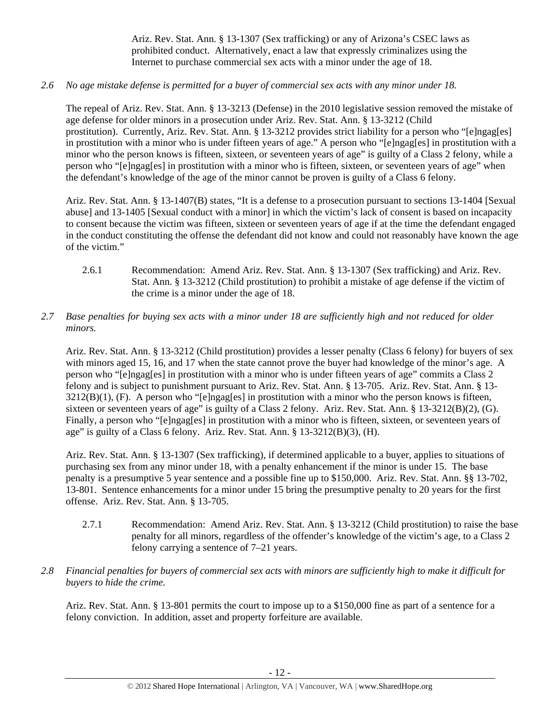Ariz. Rev. Stat. Ann. § 13-1307 (Sex trafficking) or any of Arizona's CSEC laws as prohibited conduct. Alternatively, enact a law that expressly criminalizes using the Internet to purchase commercial sex acts with a minor under the age of 18.

*2.6 No age mistake defense is permitted for a buyer of commercial sex acts with any minor under 18.* 

The repeal of Ariz. Rev. Stat. Ann. § 13-3213 (Defense) in the 2010 legislative session removed the mistake of age defense for older minors in a prosecution under Ariz. Rev. Stat. Ann. § 13-3212 (Child prostitution). Currently, Ariz. Rev. Stat. Ann. § 13-3212 provides strict liability for a person who "[e]ngag[es] in prostitution with a minor who is under fifteen years of age." A person who "[e]ngag[es] in prostitution with a minor who the person knows is fifteen, sixteen, or seventeen years of age" is guilty of a Class 2 felony, while a person who "[e]ngag[es] in prostitution with a minor who is fifteen, sixteen, or seventeen years of age" when the defendant's knowledge of the age of the minor cannot be proven is guilty of a Class 6 felony.

Ariz. Rev. Stat. Ann. § 13-1407(B) states, "It is a defense to a prosecution pursuant to sections 13-1404 [Sexual abuse] and 13-1405 [Sexual conduct with a minor] in which the victim's lack of consent is based on incapacity to consent because the victim was fifteen, sixteen or seventeen years of age if at the time the defendant engaged in the conduct constituting the offense the defendant did not know and could not reasonably have known the age of the victim."

- 2.6.1 Recommendation: Amend Ariz. Rev. Stat. Ann. § 13-1307 (Sex trafficking) and Ariz. Rev. Stat. Ann. § 13-3212 (Child prostitution) to prohibit a mistake of age defense if the victim of the crime is a minor under the age of 18.
- *2.7 Base penalties for buying sex acts with a minor under 18 are sufficiently high and not reduced for older minors.*

Ariz. Rev. Stat. Ann. § 13-3212 (Child prostitution) provides a lesser penalty (Class 6 felony) for buyers of sex with minors aged 15, 16, and 17 when the state cannot prove the buyer had knowledge of the minor's age. A person who "[e]ngag[es] in prostitution with a minor who is under fifteen years of age" commits a Class 2 felony and is subject to punishment pursuant to Ariz. Rev. Stat. Ann. § 13-705. Ariz. Rev. Stat. Ann. § 13- 3212(B)(1), (F). A person who "[e]ngag[es] in prostitution with a minor who the person knows is fifteen, sixteen or seventeen years of age" is guilty of a Class 2 felony. Ariz. Rev. Stat. Ann. § 13-3212(B)(2), (G). Finally, a person who "[e]ngag[es] in prostitution with a minor who is fifteen, sixteen, or seventeen years of age" is guilty of a Class 6 felony. Ariz. Rev. Stat. Ann. § 13-3212(B)(3), (H).

Ariz. Rev. Stat. Ann. § 13-1307 (Sex trafficking), if determined applicable to a buyer, applies to situations of purchasing sex from any minor under 18, with a penalty enhancement if the minor is under 15. The base penalty is a presumptive 5 year sentence and a possible fine up to \$150,000. Ariz. Rev. Stat. Ann. §§ 13-702, 13-801. Sentence enhancements for a minor under 15 bring the presumptive penalty to 20 years for the first offense. Ariz. Rev. Stat. Ann. § 13-705.

- 2.7.1 Recommendation: Amend Ariz. Rev. Stat. Ann. § 13-3212 (Child prostitution) to raise the base penalty for all minors, regardless of the offender's knowledge of the victim's age, to a Class 2 felony carrying a sentence of 7–21 years.
- *2.8 Financial penalties for buyers of commercial sex acts with minors are sufficiently high to make it difficult for buyers to hide the crime.*

Ariz. Rev. Stat. Ann. § 13-801 permits the court to impose up to a \$150,000 fine as part of a sentence for a felony conviction. In addition, asset and property forfeiture are available.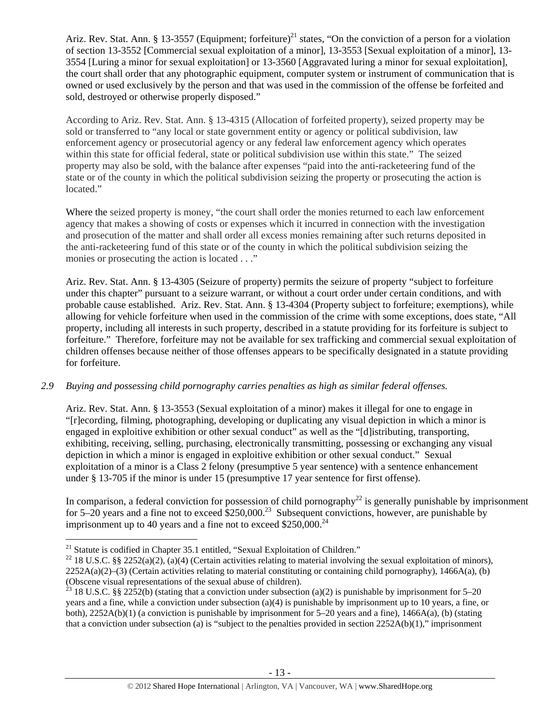Ariz. Rev. Stat. Ann. § 13-3557 (Equipment; forfeiture)<sup>21</sup> states, "On the conviction of a person for a violation of section 13-3552 [Commercial sexual exploitation of a minor], 13-3553 [Sexual exploitation of a minor], 13- 3554 [Luring a minor for sexual exploitation] or 13-3560 [Aggravated luring a minor for sexual exploitation], the court shall order that any photographic equipment, computer system or instrument of communication that is owned or used exclusively by the person and that was used in the commission of the offense be forfeited and sold, destroyed or otherwise properly disposed."

According to Ariz. Rev. Stat. Ann. § 13-4315 (Allocation of forfeited property), seized property may be sold or transferred to "any local or state government entity or agency or political subdivision, law enforcement agency or prosecutorial agency or any federal law enforcement agency which operates within this state for official federal, state or political subdivision use within this state." The seized property may also be sold, with the balance after expenses "paid into the anti-racketeering fund of the state or of the county in which the political subdivision seizing the property or prosecuting the action is located."

Where the seized property is money, "the court shall order the monies returned to each law enforcement agency that makes a showing of costs or expenses which it incurred in connection with the investigation and prosecution of the matter and shall order all excess monies remaining after such returns deposited in the anti-racketeering fund of this state or of the county in which the political subdivision seizing the monies or prosecuting the action is located . . ."

Ariz. Rev. Stat. Ann. § 13-4305 (Seizure of property) permits the seizure of property "subject to forfeiture under this chapter" pursuant to a seizure warrant, or without a court order under certain conditions, and with probable cause established. Ariz. Rev. Stat. Ann. § 13-4304 (Property subject to forfeiture; exemptions), while allowing for vehicle forfeiture when used in the commission of the crime with some exceptions, does state, "All property, including all interests in such property, described in a statute providing for its forfeiture is subject to forfeiture." Therefore, forfeiture may not be available for sex trafficking and commercial sexual exploitation of children offenses because neither of those offenses appears to be specifically designated in a statute providing for forfeiture.

## *2.9 Buying and possessing child pornography carries penalties as high as similar federal offenses.*

Ariz. Rev. Stat. Ann. § 13-3553 (Sexual exploitation of a minor) makes it illegal for one to engage in "[r]ecording, filming, photographing, developing or duplicating any visual depiction in which a minor is engaged in exploitive exhibition or other sexual conduct" as well as the "[d]istributing, transporting, exhibiting, receiving, selling, purchasing, electronically transmitting, possessing or exchanging any visual depiction in which a minor is engaged in exploitive exhibition or other sexual conduct." Sexual exploitation of a minor is a Class 2 felony (presumptive 5 year sentence) with a sentence enhancement under § 13-705 if the minor is under 15 (presumptive 17 year sentence for first offense).

In comparison, a federal conviction for possession of child pornography<sup>22</sup> is generally punishable by imprisonment for 5–20 years and a fine not to exceed \$250,000.<sup>23</sup> Subsequent convictions, however, are punishable by imprisonment up to 40 years and a fine not to exceed  $$250,000.<sup>24</sup>$ 

<sup>&</sup>lt;sup>21</sup> Statute is codified in Chapter 35.1 entitled, "Sexual Exploitation of Children."

<sup>&</sup>lt;sup>22</sup> 18 U.S.C. §§ 2252(a)(2), (a)(4) (Certain activities relating to material involving the sexual exploitation of minors),  $2252A(a)(2)$ –(3) (Certain activities relating to material constituting or containing child pornography), 1466A(a), (b) (Obscene visual representations of the sexual abuse of children).

<sup>&</sup>lt;sup>23</sup> 18 U.S.C. §§ 2252(b) (stating that a conviction under subsection (a)(2) is punishable by imprisonment for 5–20 years and a fine, while a conviction under subsection (a)(4) is punishable by imprisonment up to 10 years, a fine, or both), 2252A(b)(1) (a conviction is punishable by imprisonment for 5–20 years and a fine), 1466A(a), (b) (stating that a conviction under subsection (a) is "subject to the penalties provided in section  $2252A(b)(1)$ ," imprisonment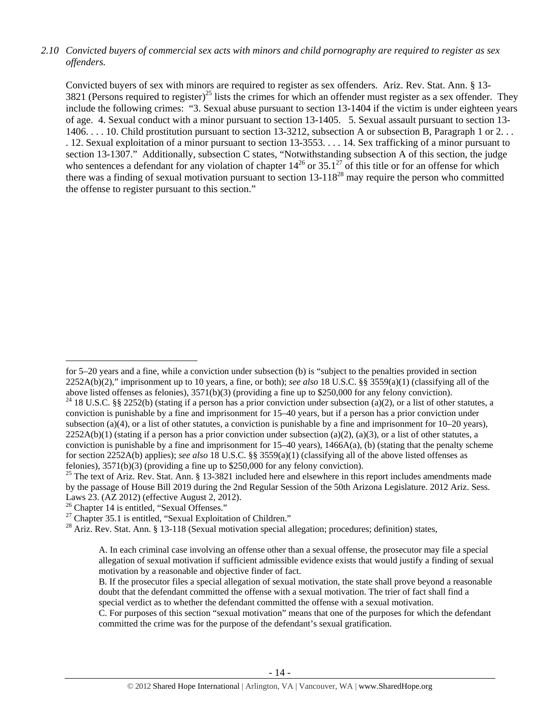## *2.10 Convicted buyers of commercial sex acts with minors and child pornography are required to register as sex offenders.*

Convicted buyers of sex with minors are required to register as sex offenders. Ariz. Rev. Stat. Ann. § 13- 3821 (Persons required to register)<sup>25</sup> lists the crimes for which an offender must register as a sex offender. They include the following crimes: "3. Sexual abuse pursuant to section 13-1404 if the victim is under eighteen years of age. 4. Sexual conduct with a minor pursuant to section 13-1405. 5. Sexual assault pursuant to section 13- 1406. . . . 10. Child prostitution pursuant to section 13-3212, subsection A or subsection B, Paragraph 1 or 2. . . . 12. Sexual exploitation of a minor pursuant to section 13-3553. . . . 14. Sex trafficking of a minor pursuant to section 13-1307." Additionally, subsection C states, "Notwithstanding subsection A of this section, the judge who sentences a defendant for any violation of chapter  $14^{26}$  or  $35.1^{27}$  of this title or for an offense for which there was a finding of sexual motivation pursuant to section  $13-118^{28}$  may require the person who committed the offense to register pursuant to this section."

for 5–20 years and a fine, while a conviction under subsection (b) is "subject to the penalties provided in section 2252A(b)(2)," imprisonment up to 10 years, a fine, or both); *see also* 18 U.S.C. §§ 3559(a)(1) (classifying all of the above listed offenses as felonies), 3571(b)(3) (providing a fine up to \$250,000 for any felony conviction). <sup>24</sup> 18 U.S.C. §§ 2252(b) (stating if a person has a prior conviction under subsection (a)(2), or a list of other statutes, a

conviction is punishable by a fine and imprisonment for 15–40 years, but if a person has a prior conviction under subsection (a)(4), or a list of other statutes, a conviction is punishable by a fine and imprisonment for  $10-20$  years),  $2252A(b)(1)$  (stating if a person has a prior conviction under subsection (a)(2), (a)(3), or a list of other statutes, a conviction is punishable by a fine and imprisonment for  $15-40$  years),  $1466A(a)$ , (b) (stating that the penalty scheme for section 2252A(b) applies); *see also* 18 U.S.C. §§ 3559(a)(1) (classifying all of the above listed offenses as felonies), 3571(b)(3) (providing a fine up to \$250,000 for any felony conviction).

<sup>&</sup>lt;sup>25</sup> The text of Ariz. Rev. Stat. Ann. § 13-3821 included here and elsewhere in this report includes amendments made by the passage of House Bill 2019 during the 2nd Regular Session of the 50th Arizona Legislature. 2012 Ariz. Sess. Laws 23. (AZ 2012) (effective August 2, 2012).

<sup>&</sup>lt;sup>26</sup> Chapter 14 is entitled, "Sexual Offenses."

 $27$  Chapter 35.1 is entitled, "Sexual Exploitation of Children."

<sup>&</sup>lt;sup>28</sup> Ariz. Rev. Stat. Ann. § 13-118 (Sexual motivation special allegation; procedures; definition) states,

A. In each criminal case involving an offense other than a sexual offense, the prosecutor may file a special allegation of sexual motivation if sufficient admissible evidence exists that would justify a finding of sexual motivation by a reasonable and objective finder of fact.

B. If the prosecutor files a special allegation of sexual motivation, the state shall prove beyond a reasonable doubt that the defendant committed the offense with a sexual motivation. The trier of fact shall find a special verdict as to whether the defendant committed the offense with a sexual motivation.

C. For purposes of this section "sexual motivation" means that one of the purposes for which the defendant committed the crime was for the purpose of the defendant's sexual gratification.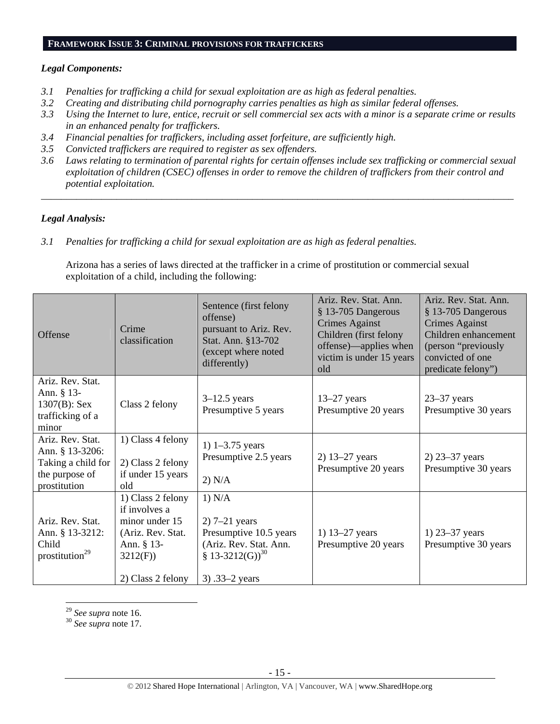#### **FRAMEWORK ISSUE 3: CRIMINAL PROVISIONS FOR TRAFFICKERS**

## *Legal Components:*

- *3.1 Penalties for trafficking a child for sexual exploitation are as high as federal penalties.*
- *3.2 Creating and distributing child pornography carries penalties as high as similar federal offenses.*
- *3.3 Using the Internet to lure, entice, recruit or sell commercial sex acts with a minor is a separate crime or results in an enhanced penalty for traffickers.*
- *3.4 Financial penalties for traffickers, including asset forfeiture, are sufficiently high.*
- *3.5 Convicted traffickers are required to register as sex offenders.*
- *3.6 Laws relating to termination of parental rights for certain offenses include sex trafficking or commercial sexual exploitation of children (CSEC) offenses in order to remove the children of traffickers from their control and potential exploitation.*

*\_\_\_\_\_\_\_\_\_\_\_\_\_\_\_\_\_\_\_\_\_\_\_\_\_\_\_\_\_\_\_\_\_\_\_\_\_\_\_\_\_\_\_\_\_\_\_\_\_\_\_\_\_\_\_\_\_\_\_\_\_\_\_\_\_\_\_\_\_\_\_\_\_\_\_\_\_\_\_\_\_\_\_\_\_\_\_\_\_\_\_\_\_\_* 

## *Legal Analysis:*

*3.1 Penalties for trafficking a child for sexual exploitation are as high as federal penalties.* 

Arizona has a series of laws directed at the trafficker in a crime of prostitution or commercial sexual exploitation of a child, including the following:

| Offense                                                                                     | Crime<br>classification                                                                                                 | Sentence (first felony<br>offense)<br>pursuant to Ariz. Rev.<br>Stat. Ann. §13-702<br>(except where noted<br>differently)        | Ariz. Rev. Stat. Ann.<br>§ 13-705 Dangerous<br><b>Crimes Against</b><br>Children (first felony<br>offense)—applies when<br>victim is under 15 years<br>old | Ariz. Rev. Stat. Ann.<br>§ 13-705 Dangerous<br><b>Crimes Against</b><br>Children enhancement<br>(person "previously<br>convicted of one<br>predicate felony") |
|---------------------------------------------------------------------------------------------|-------------------------------------------------------------------------------------------------------------------------|----------------------------------------------------------------------------------------------------------------------------------|------------------------------------------------------------------------------------------------------------------------------------------------------------|---------------------------------------------------------------------------------------------------------------------------------------------------------------|
| Ariz. Rev. Stat.<br>Ann. § 13-<br>$1307(B)$ : Sex<br>trafficking of a<br>minor              | Class 2 felony                                                                                                          | $3-12.5$ years<br>Presumptive 5 years                                                                                            | $13-27$ years<br>Presumptive 20 years                                                                                                                      | $23-37$ years<br>Presumptive 30 years                                                                                                                         |
| Ariz. Rev. Stat.<br>Ann. § 13-3206:<br>Taking a child for<br>the purpose of<br>prostitution | 1) Class 4 felony<br>2) Class 2 felony<br>if under 15 years<br>old                                                      | 1) $1 - 3.75$ years<br>Presumptive 2.5 years<br>2) N/A                                                                           | 2) 13–27 years<br>Presumptive 20 years                                                                                                                     | $2)$ 23–37 years<br>Presumptive 30 years                                                                                                                      |
| Ariz. Rev. Stat.<br>Ann. § 13-3212:<br>Child<br>prostitution <sup>29</sup>                  | 1) Class 2 felony<br>if involves a<br>minor under 15<br>(Ariz. Rev. Stat.<br>Ann. § 13-<br>3212(F)<br>2) Class 2 felony | 1) N/A<br>$2)$ 7–21 years<br>Presumptive 10.5 years<br>(Ariz. Rev. Stat. Ann.<br>§ 13-3212(G)) <sup>30</sup><br>3) $.33-2$ years | 1) $13-27$ years<br>Presumptive 20 years                                                                                                                   | 1) $23 - 37$ years<br>Presumptive 30 years                                                                                                                    |

<sup>29</sup> *See supra* note 16. 30 *See supra* note 17.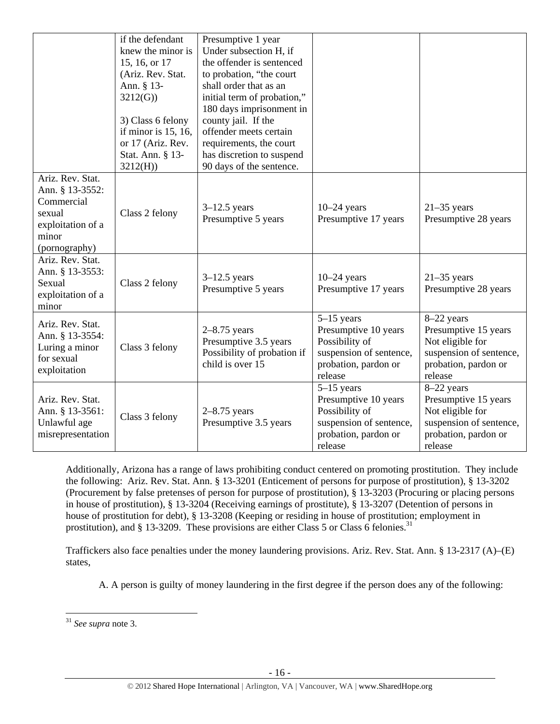|                                                                                                            | if the defendant<br>knew the minor is<br>15, 16, or 17<br>(Ariz. Rev. Stat.<br>Ann. § 13-<br>3212(G)<br>3) Class 6 felony<br>if minor is $15$ , $16$ ,<br>or 17 (Ariz. Rev.<br>Stat. Ann. § 13-<br>3212(H) | Presumptive 1 year<br>Under subsection H, if<br>the offender is sentenced<br>to probation, "the court<br>shall order that as an<br>initial term of probation,"<br>180 days imprisonment in<br>county jail. If the<br>offender meets certain<br>requirements, the court<br>has discretion to suspend<br>90 days of the sentence. |                                                                                                                      |                                                                                                                      |
|------------------------------------------------------------------------------------------------------------|------------------------------------------------------------------------------------------------------------------------------------------------------------------------------------------------------------|---------------------------------------------------------------------------------------------------------------------------------------------------------------------------------------------------------------------------------------------------------------------------------------------------------------------------------|----------------------------------------------------------------------------------------------------------------------|----------------------------------------------------------------------------------------------------------------------|
| Ariz. Rev. Stat.<br>Ann. § 13-3552:<br>Commercial<br>sexual<br>exploitation of a<br>minor<br>(pornography) | Class 2 felony                                                                                                                                                                                             | $3-12.5$ years<br>Presumptive 5 years                                                                                                                                                                                                                                                                                           | $10-24$ years<br>Presumptive 17 years                                                                                | $21-35$ years<br>Presumptive 28 years                                                                                |
| Ariz. Rev. Stat.<br>Ann. § 13-3553:<br>Sexual<br>exploitation of a<br>minor                                | Class 2 felony                                                                                                                                                                                             | $3-12.5$ years<br>Presumptive 5 years                                                                                                                                                                                                                                                                                           | $10-24$ years<br>Presumptive 17 years                                                                                | $21-35$ years<br>Presumptive 28 years                                                                                |
| Ariz. Rev. Stat.<br>Ann. § 13-3554:<br>Luring a minor<br>for sexual<br>exploitation                        | Class 3 felony                                                                                                                                                                                             | $2-8.75$ years<br>Presumptive 3.5 years<br>Possibility of probation if<br>child is over 15                                                                                                                                                                                                                                      | $5-15$ years<br>Presumptive 10 years<br>Possibility of<br>suspension of sentence,<br>probation, pardon or<br>release | 8-22 years<br>Presumptive 15 years<br>Not eligible for<br>suspension of sentence,<br>probation, pardon or<br>release |
| Ariz. Rev. Stat.<br>Ann. § 13-3561:<br>Unlawful age<br>misrepresentation                                   | Class 3 felony                                                                                                                                                                                             | $2-8.75$ years<br>Presumptive 3.5 years                                                                                                                                                                                                                                                                                         | $5-15$ years<br>Presumptive 10 years<br>Possibility of<br>suspension of sentence,<br>probation, pardon or<br>release | 8-22 years<br>Presumptive 15 years<br>Not eligible for<br>suspension of sentence,<br>probation, pardon or<br>release |

Additionally, Arizona has a range of laws prohibiting conduct centered on promoting prostitution. They include the following: Ariz. Rev. Stat. Ann. § 13-3201 (Enticement of persons for purpose of prostitution), § 13-3202 (Procurement by false pretenses of person for purpose of prostitution), § 13-3203 (Procuring or placing persons in house of prostitution), § 13-3204 (Receiving earnings of prostitute), § 13-3207 (Detention of persons in house of prostitution for debt), § 13-3208 (Keeping or residing in house of prostitution; employment in prostitution), and § 13-3209. These provisions are either Class 5 or Class 6 felonies.<sup>31</sup>

Traffickers also face penalties under the money laundering provisions. Ariz. Rev. Stat. Ann. § 13-2317 (A)–(E) states,

A. A person is guilty of money laundering in the first degree if the person does any of the following:

<sup>31</sup> *See supra* note 3.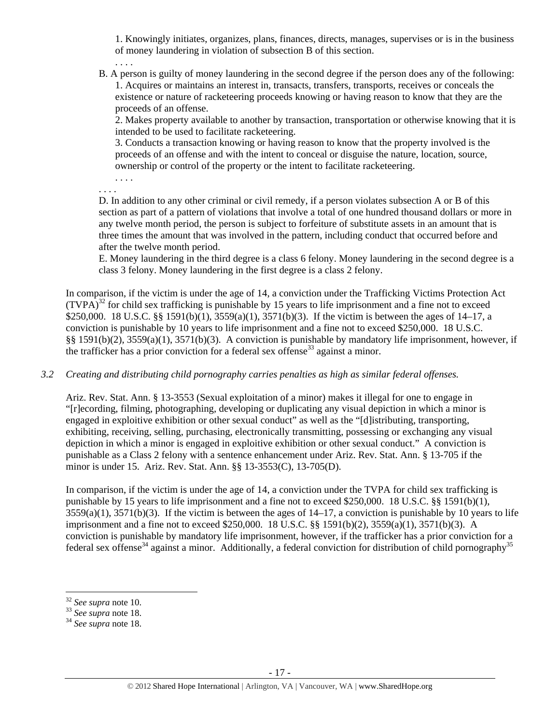1. Knowingly initiates, organizes, plans, finances, directs, manages, supervises or is in the business of money laundering in violation of subsection B of this section.

B. A person is guilty of money laundering in the second degree if the person does any of the following: 1. Acquires or maintains an interest in, transacts, transfers, transports, receives or conceals the existence or nature of racketeering proceeds knowing or having reason to know that they are the proceeds of an offense.

2. Makes property available to another by transaction, transportation or otherwise knowing that it is intended to be used to facilitate racketeering.

3. Conducts a transaction knowing or having reason to know that the property involved is the proceeds of an offense and with the intent to conceal or disguise the nature, location, source, ownership or control of the property or the intent to facilitate racketeering.

. . . .

. . . .

. . . .

D. In addition to any other criminal or civil remedy, if a person violates subsection A or B of this section as part of a pattern of violations that involve a total of one hundred thousand dollars or more in any twelve month period, the person is subject to forfeiture of substitute assets in an amount that is three times the amount that was involved in the pattern, including conduct that occurred before and after the twelve month period.

E. Money laundering in the third degree is a class 6 felony. Money laundering in the second degree is a class 3 felony. Money laundering in the first degree is a class 2 felony.

In comparison, if the victim is under the age of 14, a conviction under the Trafficking Victims Protection Act  $(TVPA)<sup>32</sup>$  for child sex trafficking is punishable by 15 years to life imprisonment and a fine not to exceed \$250,000. 18 U.S.C. §§ 1591(b)(1), 3559(a)(1), 3571(b)(3). If the victim is between the ages of 14–17, a conviction is punishable by 10 years to life imprisonment and a fine not to exceed \$250,000. 18 U.S.C. §§ 1591(b)(2), 3559(a)(1), 3571(b)(3). A conviction is punishable by mandatory life imprisonment, however, if the trafficker has a prior conviction for a federal sex offense<sup>33</sup> against a minor.

### *3.2 Creating and distributing child pornography carries penalties as high as similar federal offenses.*

Ariz. Rev. Stat. Ann. § 13-3553 (Sexual exploitation of a minor) makes it illegal for one to engage in "[r]ecording, filming, photographing, developing or duplicating any visual depiction in which a minor is engaged in exploitive exhibition or other sexual conduct" as well as the "[d]istributing, transporting, exhibiting, receiving, selling, purchasing, electronically transmitting, possessing or exchanging any visual depiction in which a minor is engaged in exploitive exhibition or other sexual conduct." A conviction is punishable as a Class 2 felony with a sentence enhancement under Ariz. Rev. Stat. Ann. § 13-705 if the minor is under 15. Ariz. Rev. Stat. Ann. §§ 13-3553(C), 13-705(D).

In comparison, if the victim is under the age of 14, a conviction under the TVPA for child sex trafficking is punishable by 15 years to life imprisonment and a fine not to exceed \$250,000. 18 U.S.C. §§ 1591(b)(1), 3559(a)(1), 3571(b)(3). If the victim is between the ages of 14–17, a conviction is punishable by 10 years to life imprisonment and a fine not to exceed \$250,000. 18 U.S.C. §§ 1591(b)(2), 3559(a)(1), 3571(b)(3). A conviction is punishable by mandatory life imprisonment, however, if the trafficker has a prior conviction for a federal sex offense<sup>34</sup> against a minor. Additionally, a federal conviction for distribution of child pornography<sup>35</sup>

 $32$  See supra note 10.

<sup>32</sup> *See supra* note 10. 33 *See supra* note 18. 34 *See supra* note 18.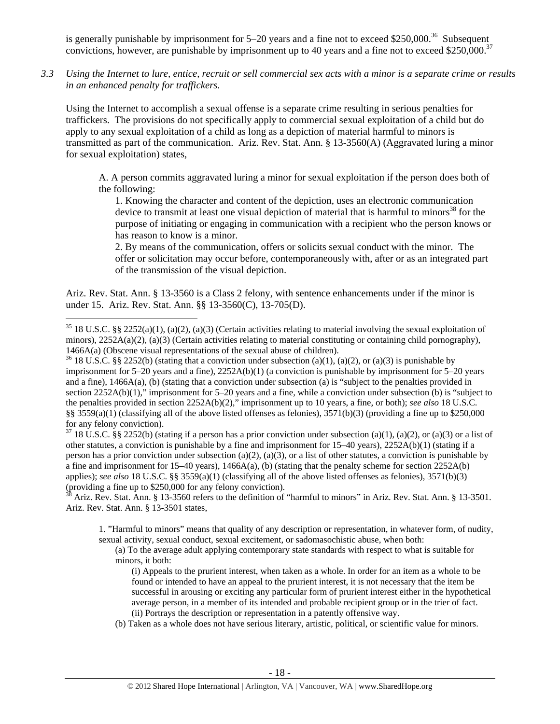is generally punishable by imprisonment for  $5-20$  years and a fine not to exceed \$250,000.<sup>36</sup> Subsequent convictions, however, are punishable by imprisonment up to 40 years and a fine not to exceed \$250,000.<sup>37</sup>

*3.3 Using the Internet to lure, entice, recruit or sell commercial sex acts with a minor is a separate crime or results in an enhanced penalty for traffickers.* 

Using the Internet to accomplish a sexual offense is a separate crime resulting in serious penalties for traffickers. The provisions do not specifically apply to commercial sexual exploitation of a child but do apply to any sexual exploitation of a child as long as a depiction of material harmful to minors is transmitted as part of the communication. Ariz. Rev. Stat. Ann. § 13-3560(A) (Aggravated luring a minor for sexual exploitation) states,

A. A person commits aggravated luring a minor for sexual exploitation if the person does both of the following:

1. Knowing the character and content of the depiction, uses an electronic communication device to transmit at least one visual depiction of material that is harmful to minors<sup>38</sup> for the purpose of initiating or engaging in communication with a recipient who the person knows or has reason to know is a minor.

2. By means of the communication, offers or solicits sexual conduct with the minor. The offer or solicitation may occur before, contemporaneously with, after or as an integrated part of the transmission of the visual depiction.

Ariz. Rev. Stat. Ann. § 13-3560 is a Class 2 felony, with sentence enhancements under if the minor is under 15. Ariz. Rev. Stat. Ann. §§ 13-3560(C), 13-705(D).

 $\overline{a}$ 

imprisonment for 5–20 years and a fine), 2252A(b)(1) (a conviction is punishable by imprisonment for 5–20 years and a fine), 1466A(a), (b) (stating that a conviction under subsection (a) is "subject to the penalties provided in section 2252A(b)(1)," imprisonment for 5–20 years and a fine, while a conviction under subsection (b) is "subject to the penalties provided in section 2252A(b)(2)," imprisonment up to 10 years, a fine, or both); *see also* 18 U.S.C. §§ 3559(a)(1) (classifying all of the above listed offenses as felonies),  $3571(b)(3)$  (providing a fine up to \$250,000 for any felony conviction).

 $37\,18\,$  U.S.C. §§ 2252(b) (stating if a person has a prior conviction under subsection (a)(1), (a)(2), or (a)(3) or a list of other statutes, a conviction is punishable by a fine and imprisonment for  $15-40$  years),  $2252A(b)(1)$  (stating if a person has a prior conviction under subsection (a)(2), (a)(3), or a list of other statutes, a conviction is punishable by a fine and imprisonment for  $15-40$  years),  $1466A(a)$ , (b) (stating that the penalty scheme for section  $2252A(b)$ applies); *see also* 18 U.S.C. §§ 3559(a)(1) (classifying all of the above listed offenses as felonies), 3571(b)(3) (providing a fine up to \$250,000 for any felony conviction).

38 Ariz. Rev. Stat. Ann. § 13-3560 refers to the definition of "harmful to minors" in Ariz. Rev. Stat. Ann. § 13-3501. Ariz. Rev. Stat. Ann. § 13-3501 states,

1. "Harmful to minors" means that quality of any description or representation, in whatever form, of nudity, sexual activity, sexual conduct, sexual excitement, or sadomasochistic abuse, when both:

(a) To the average adult applying contemporary state standards with respect to what is suitable for minors, it both:

- (i) Appeals to the prurient interest, when taken as a whole. In order for an item as a whole to be found or intended to have an appeal to the prurient interest, it is not necessary that the item be successful in arousing or exciting any particular form of prurient interest either in the hypothetical average person, in a member of its intended and probable recipient group or in the trier of fact. (ii) Portrays the description or representation in a patently offensive way.
- (b) Taken as a whole does not have serious literary, artistic, political, or scientific value for minors.

 $35\,18$  U.S.C. §§ 2252(a)(1), (a)(2), (a)(3) (Certain activities relating to material involving the sexual exploitation of minors),  $2252A(a)(2)$ ,  $(a)(3)$  (Certain activities relating to material constituting or containing child pornography), 1466A(a) (Obscene visual representations of the sexual abuse of children).<br><sup>36</sup> 18 U.S.C. §§ 2252(b) (stating that a conviction under subsection (a)(1), (a)(2), or (a)(3) is punishable by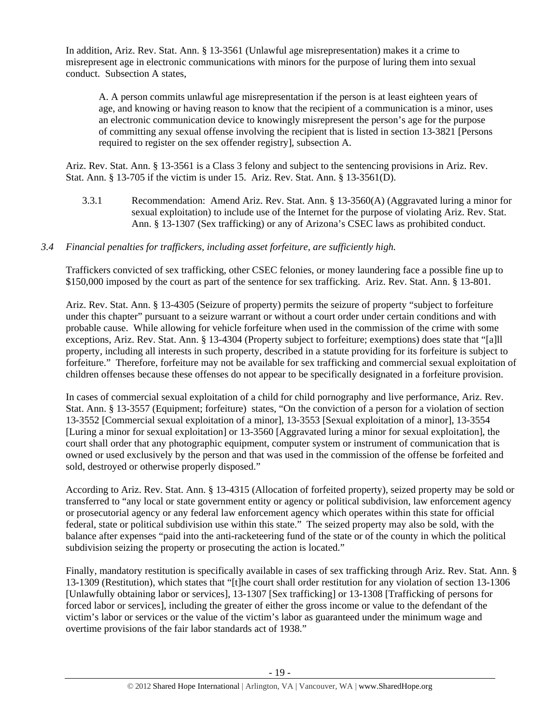In addition, Ariz. Rev. Stat. Ann. § 13-3561 (Unlawful age misrepresentation) makes it a crime to misrepresent age in electronic communications with minors for the purpose of luring them into sexual conduct. Subsection A states,

A. A person commits unlawful age misrepresentation if the person is at least eighteen years of age, and knowing or having reason to know that the recipient of a communication is a minor, uses an electronic communication device to knowingly misrepresent the person's age for the purpose of committing any sexual offense involving the recipient that is listed in section 13-3821 [Persons required to register on the sex offender registry], subsection A.

Ariz. Rev. Stat. Ann. § 13-3561 is a Class 3 felony and subject to the sentencing provisions in Ariz. Rev. Stat. Ann. § 13-705 if the victim is under 15. Ariz. Rev. Stat. Ann. § 13-3561(D).

3.3.1 Recommendation: Amend Ariz. Rev. Stat. Ann. § 13-3560(A) (Aggravated luring a minor for sexual exploitation) to include use of the Internet for the purpose of violating Ariz. Rev. Stat. Ann. § 13-1307 (Sex trafficking) or any of Arizona's CSEC laws as prohibited conduct.

## *3.4 Financial penalties for traffickers, including asset forfeiture, are sufficiently high.*

Traffickers convicted of sex trafficking, other CSEC felonies, or money laundering face a possible fine up to \$150,000 imposed by the court as part of the sentence for sex trafficking. Ariz. Rev. Stat. Ann. § 13-801.

Ariz. Rev. Stat. Ann. § 13-4305 (Seizure of property) permits the seizure of property "subject to forfeiture under this chapter" pursuant to a seizure warrant or without a court order under certain conditions and with probable cause. While allowing for vehicle forfeiture when used in the commission of the crime with some exceptions, Ariz. Rev. Stat. Ann. § 13-4304 (Property subject to forfeiture; exemptions) does state that "[a]ll property, including all interests in such property, described in a statute providing for its forfeiture is subject to forfeiture." Therefore, forfeiture may not be available for sex trafficking and commercial sexual exploitation of children offenses because these offenses do not appear to be specifically designated in a forfeiture provision.

In cases of commercial sexual exploitation of a child for child pornography and live performance, Ariz. Rev. Stat. Ann. § 13-3557 (Equipment; forfeiture) states, "On the conviction of a person for a violation of section 13-3552 [Commercial sexual exploitation of a minor], 13-3553 [Sexual exploitation of a minor], 13-3554 [Luring a minor for sexual exploitation] or 13-3560 [Aggravated luring a minor for sexual exploitation], the court shall order that any photographic equipment, computer system or instrument of communication that is owned or used exclusively by the person and that was used in the commission of the offense be forfeited and sold, destroyed or otherwise properly disposed."

According to Ariz. Rev. Stat. Ann. § 13-4315 (Allocation of forfeited property), seized property may be sold or transferred to "any local or state government entity or agency or political subdivision, law enforcement agency or prosecutorial agency or any federal law enforcement agency which operates within this state for official federal, state or political subdivision use within this state." The seized property may also be sold, with the balance after expenses "paid into the anti-racketeering fund of the state or of the county in which the political subdivision seizing the property or prosecuting the action is located."

Finally, mandatory restitution is specifically available in cases of sex trafficking through Ariz. Rev. Stat. Ann. § 13-1309 (Restitution), which states that "[t]he court shall order restitution for any violation of section 13-1306 [Unlawfully obtaining labor or services], 13-1307 [Sex trafficking] or 13-1308 [Trafficking of persons for forced labor or services], including the greater of either the gross income or value to the defendant of the victim's labor or services or the value of the victim's labor as guaranteed under the minimum wage and overtime provisions of the fair labor standards act of 1938."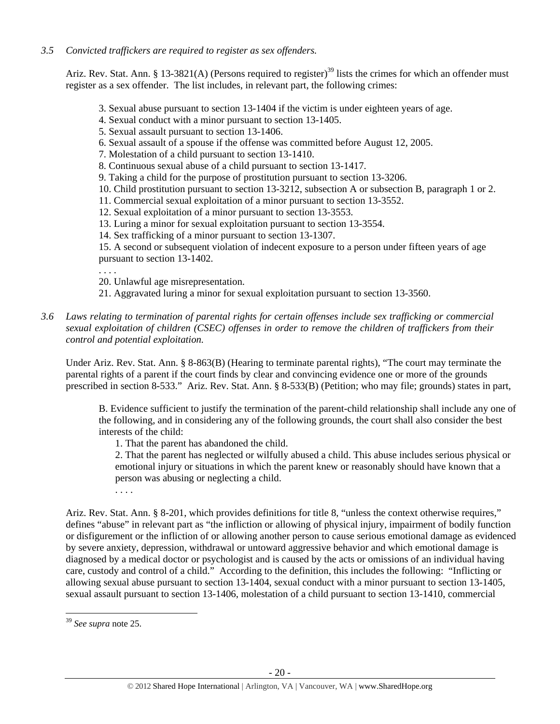## *3.5 Convicted traffickers are required to register as sex offenders.*

Ariz. Rev. Stat. Ann. § 13-3821(A) (Persons required to register)<sup>39</sup> lists the crimes for which an offender must register as a sex offender. The list includes, in relevant part, the following crimes:

- 3. Sexual abuse pursuant to section 13-1404 if the victim is under eighteen years of age.
- 4. Sexual conduct with a minor pursuant to section 13-1405.
- 5. Sexual assault pursuant to section 13-1406.
- 6. Sexual assault of a spouse if the offense was committed before August 12, 2005.
- 7. Molestation of a child pursuant to section 13-1410.
- 8. Continuous sexual abuse of a child pursuant to section 13-1417.
- 9. Taking a child for the purpose of prostitution pursuant to section 13-3206.
- 10. Child prostitution pursuant to section 13-3212, subsection A or subsection B, paragraph 1 or 2.
- 11. Commercial sexual exploitation of a minor pursuant to section 13-3552.
- 12. Sexual exploitation of a minor pursuant to section 13-3553.
- 13. Luring a minor for sexual exploitation pursuant to section 13-3554.
- 14. Sex trafficking of a minor pursuant to section 13-1307.

15. A second or subsequent violation of indecent exposure to a person under fifteen years of age pursuant to section 13-1402.

. . . .

- 20. Unlawful age misrepresentation.
- 21. Aggravated luring a minor for sexual exploitation pursuant to section 13-3560.
- *3.6 Laws relating to termination of parental rights for certain offenses include sex trafficking or commercial sexual exploitation of children (CSEC) offenses in order to remove the children of traffickers from their control and potential exploitation.*

Under Ariz. Rev. Stat. Ann. § 8-863(B) (Hearing to terminate parental rights), "The court may terminate the parental rights of a parent if the court finds by clear and convincing evidence one or more of the grounds prescribed in section 8-533." Ariz. Rev. Stat. Ann. § 8-533(B) (Petition; who may file; grounds) states in part,

B. Evidence sufficient to justify the termination of the parent-child relationship shall include any one of the following, and in considering any of the following grounds, the court shall also consider the best interests of the child:

1. That the parent has abandoned the child.

2. That the parent has neglected or wilfully abused a child. This abuse includes serious physical or emotional injury or situations in which the parent knew or reasonably should have known that a person was abusing or neglecting a child.

. . . .

Ariz. Rev. Stat. Ann. § 8-201, which provides definitions for title 8, "unless the context otherwise requires," defines "abuse" in relevant part as "the infliction or allowing of physical injury, impairment of bodily function or disfigurement or the infliction of or allowing another person to cause serious emotional damage as evidenced by severe anxiety, depression, withdrawal or untoward aggressive behavior and which emotional damage is diagnosed by a medical doctor or psychologist and is caused by the acts or omissions of an individual having care, custody and control of a child." According to the definition, this includes the following: "Inflicting or allowing sexual abuse pursuant to section 13-1404, sexual conduct with a minor pursuant to section 13-1405, sexual assault pursuant to section 13-1406, molestation of a child pursuant to section 13-1410, commercial

<sup>39</sup> *See supra* note 25.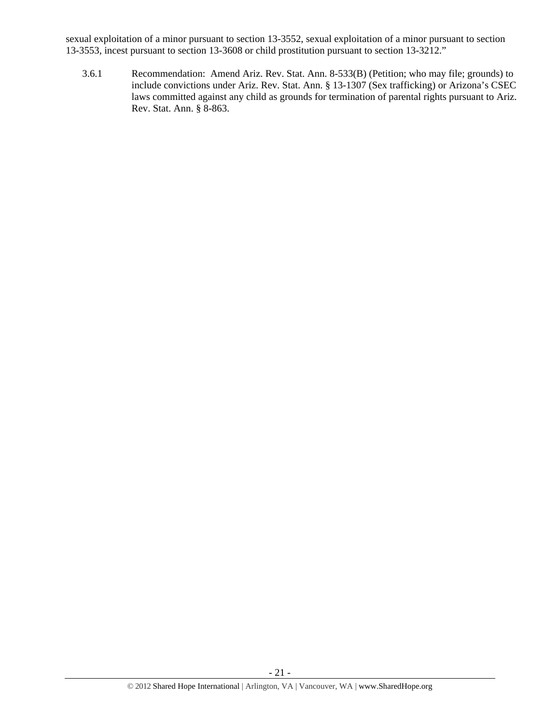sexual exploitation of a minor pursuant to section 13-3552, sexual exploitation of a minor pursuant to section 13-3553, incest pursuant to section 13-3608 or child prostitution pursuant to section 13-3212."

3.6.1 Recommendation: Amend Ariz. Rev. Stat. Ann. 8-533(B) (Petition; who may file; grounds) to include convictions under Ariz. Rev. Stat. Ann. § 13-1307 (Sex trafficking) or Arizona's CSEC laws committed against any child as grounds for termination of parental rights pursuant to Ariz. Rev. Stat. Ann. § 8-863.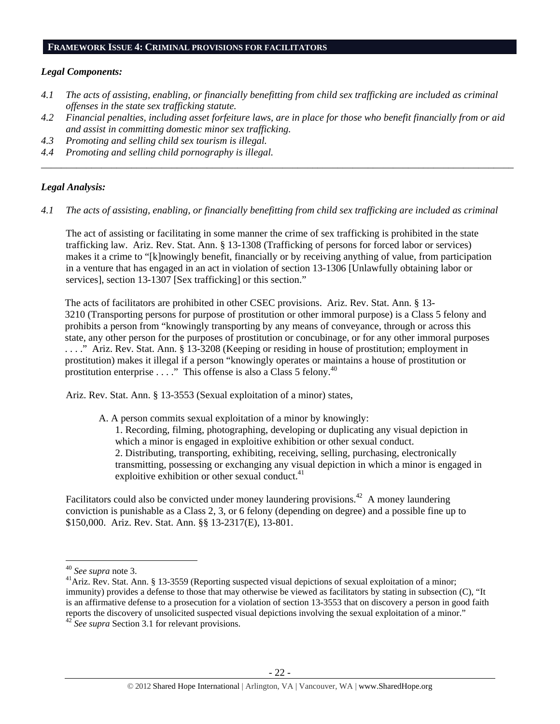#### **FRAMEWORK ISSUE 4: CRIMINAL PROVISIONS FOR FACILITATORS**

#### *Legal Components:*

- *4.1 The acts of assisting, enabling, or financially benefitting from child sex trafficking are included as criminal offenses in the state sex trafficking statute.*
- *4.2 Financial penalties, including asset forfeiture laws, are in place for those who benefit financially from or aid and assist in committing domestic minor sex trafficking.*

*\_\_\_\_\_\_\_\_\_\_\_\_\_\_\_\_\_\_\_\_\_\_\_\_\_\_\_\_\_\_\_\_\_\_\_\_\_\_\_\_\_\_\_\_\_\_\_\_\_\_\_\_\_\_\_\_\_\_\_\_\_\_\_\_\_\_\_\_\_\_\_\_\_\_\_\_\_\_\_\_\_\_\_\_\_\_\_\_\_\_\_\_\_\_* 

- *4.3 Promoting and selling child sex tourism is illegal.*
- *4.4 Promoting and selling child pornography is illegal.*

#### *Legal Analysis:*

*4.1 The acts of assisting, enabling, or financially benefitting from child sex trafficking are included as criminal* 

The act of assisting or facilitating in some manner the crime of sex trafficking is prohibited in the state trafficking law. Ariz. Rev. Stat. Ann. § 13-1308 (Trafficking of persons for forced labor or services) makes it a crime to "[k]nowingly benefit, financially or by receiving anything of value, from participation in a venture that has engaged in an act in violation of section 13-1306 [Unlawfully obtaining labor or services], section 13-1307 [Sex trafficking] or this section."

The acts of facilitators are prohibited in other CSEC provisions. Ariz. Rev. Stat. Ann. § 13- 3210 (Transporting persons for purpose of prostitution or other immoral purpose) is a Class 5 felony and prohibits a person from "knowingly transporting by any means of conveyance, through or across this state, any other person for the purposes of prostitution or concubinage, or for any other immoral purposes . . . ." Ariz. Rev. Stat. Ann. § 13-3208 (Keeping or residing in house of prostitution; employment in prostitution) makes it illegal if a person "knowingly operates or maintains a house of prostitution or prostitution enterprise . . . ." This offense is also a Class 5 felony.<sup>40</sup>

Ariz. Rev. Stat. Ann. § 13-3553 (Sexual exploitation of a minor) states,

A. A person commits sexual exploitation of a minor by knowingly: 1. Recording, filming, photographing, developing or duplicating any visual depiction in which a minor is engaged in exploitive exhibition or other sexual conduct. 2. Distributing, transporting, exhibiting, receiving, selling, purchasing, electronically transmitting, possessing or exchanging any visual depiction in which a minor is engaged in

exploitive exhibition or other sexual conduct. $41$ Facilitators could also be convicted under money laundering provisions.<sup>42</sup> A money laundering

conviction is punishable as a Class 2, 3, or 6 felony (depending on degree) and a possible fine up to \$150,000. Ariz. Rev. Stat. Ann. §§ 13-2317(E), 13-801.

<sup>&</sup>lt;sup>40</sup> See supra note 3.

<sup>&</sup>lt;sup>41</sup> Ariz. Rev. Stat. Ann. § 13-3559 (Reporting suspected visual depictions of sexual exploitation of a minor; immunity) provides a defense to those that may otherwise be viewed as facilitators by stating in subsection (C), "It is an affirmative defense to a prosecution for a violation of section 13-3553 that on discovery a person in good faith reports the discovery of unsolicited suspected visual depictions involving the sexual exploitation of a minor." <sup>42</sup> *See supra* Section 3.1 for relevant provisions.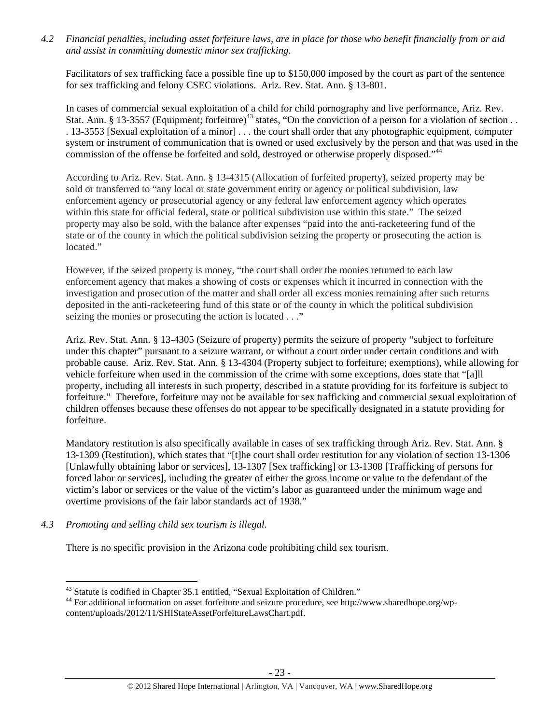*4.2 Financial penalties, including asset forfeiture laws, are in place for those who benefit financially from or aid and assist in committing domestic minor sex trafficking.* 

Facilitators of sex trafficking face a possible fine up to \$150,000 imposed by the court as part of the sentence for sex trafficking and felony CSEC violations. Ariz. Rev. Stat. Ann. § 13-801.

In cases of commercial sexual exploitation of a child for child pornography and live performance, Ariz. Rev. Stat. Ann. § 13-3557 (Equipment; forfeiture)<sup>43</sup> states, "On the conviction of a person for a violation of section . . . 13-3553 [Sexual exploitation of a minor] . . . the court shall order that any photographic equipment, computer system or instrument of communication that is owned or used exclusively by the person and that was used in the commission of the offense be forfeited and sold, destroyed or otherwise properly disposed."<sup>44</sup>

According to Ariz. Rev. Stat. Ann. § 13-4315 (Allocation of forfeited property), seized property may be sold or transferred to "any local or state government entity or agency or political subdivision, law enforcement agency or prosecutorial agency or any federal law enforcement agency which operates within this state for official federal, state or political subdivision use within this state." The seized property may also be sold, with the balance after expenses "paid into the anti-racketeering fund of the state or of the county in which the political subdivision seizing the property or prosecuting the action is located."

However, if the seized property is money, "the court shall order the monies returned to each law enforcement agency that makes a showing of costs or expenses which it incurred in connection with the investigation and prosecution of the matter and shall order all excess monies remaining after such returns deposited in the anti-racketeering fund of this state or of the county in which the political subdivision seizing the monies or prosecuting the action is located . . ."

Ariz. Rev. Stat. Ann. § 13-4305 (Seizure of property) permits the seizure of property "subject to forfeiture under this chapter" pursuant to a seizure warrant, or without a court order under certain conditions and with probable cause. Ariz. Rev. Stat. Ann. § 13-4304 (Property subject to forfeiture; exemptions), while allowing for vehicle forfeiture when used in the commission of the crime with some exceptions, does state that "[a]ll property, including all interests in such property, described in a statute providing for its forfeiture is subject to forfeiture." Therefore, forfeiture may not be available for sex trafficking and commercial sexual exploitation of children offenses because these offenses do not appear to be specifically designated in a statute providing for forfeiture.

Mandatory restitution is also specifically available in cases of sex trafficking through Ariz. Rev. Stat. Ann. § 13-1309 (Restitution), which states that "[t]he court shall order restitution for any violation of section 13-1306 [Unlawfully obtaining labor or services], 13-1307 [Sex trafficking] or 13-1308 [Trafficking of persons for forced labor or services], including the greater of either the gross income or value to the defendant of the victim's labor or services or the value of the victim's labor as guaranteed under the minimum wage and overtime provisions of the fair labor standards act of 1938."

*4.3 Promoting and selling child sex tourism is illegal.* 

 $\overline{a}$ 

There is no specific provision in the Arizona code prohibiting child sex tourism.

<sup>&</sup>lt;sup>43</sup> Statute is codified in Chapter 35.1 entitled, "Sexual Exploitation of Children."

<sup>44</sup> For additional information on asset forfeiture and seizure procedure, see http://www.sharedhope.org/wpcontent/uploads/2012/11/SHIStateAssetForfeitureLawsChart.pdf.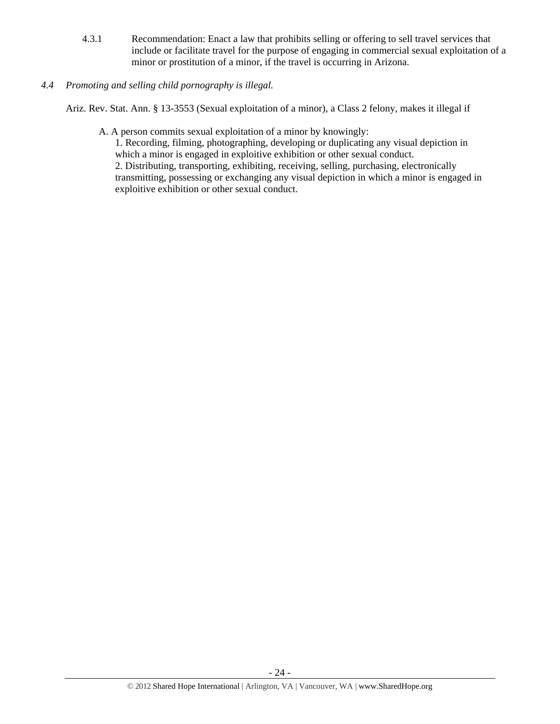- 4.3.1 Recommendation: Enact a law that prohibits selling or offering to sell travel services that include or facilitate travel for the purpose of engaging in commercial sexual exploitation of a minor or prostitution of a minor, if the travel is occurring in Arizona.
- *4.4 Promoting and selling child pornography is illegal.*

Ariz. Rev. Stat. Ann. § 13-3553 (Sexual exploitation of a minor), a Class 2 felony, makes it illegal if

A. A person commits sexual exploitation of a minor by knowingly:

1. Recording, filming, photographing, developing or duplicating any visual depiction in which a minor is engaged in exploitive exhibition or other sexual conduct.

2. Distributing, transporting, exhibiting, receiving, selling, purchasing, electronically transmitting, possessing or exchanging any visual depiction in which a minor is engaged in exploitive exhibition or other sexual conduct.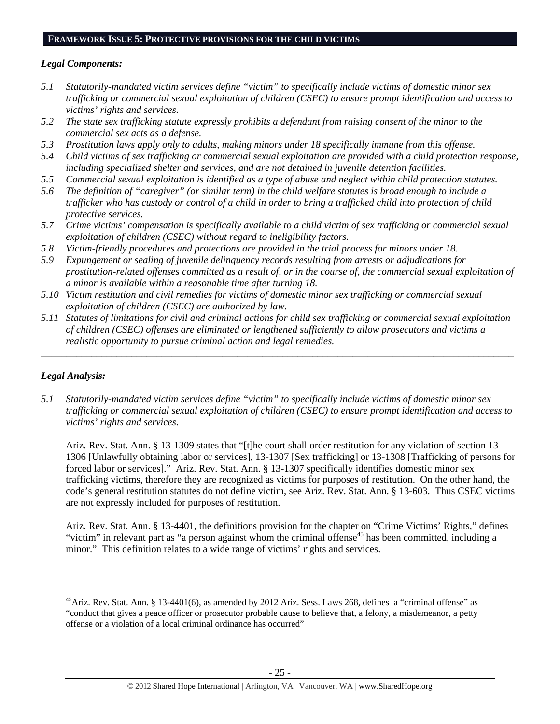#### **FRAMEWORK ISSUE 5: PROTECTIVE PROVISIONS FOR THE CHILD VICTIMS**

## *Legal Components:*

- *5.1 Statutorily-mandated victim services define "victim" to specifically include victims of domestic minor sex trafficking or commercial sexual exploitation of children (CSEC) to ensure prompt identification and access to victims' rights and services.*
- *5.2 The state sex trafficking statute expressly prohibits a defendant from raising consent of the minor to the commercial sex acts as a defense.*
- *5.3 Prostitution laws apply only to adults, making minors under 18 specifically immune from this offense.*
- *5.4 Child victims of sex trafficking or commercial sexual exploitation are provided with a child protection response, including specialized shelter and services, and are not detained in juvenile detention facilities.*
- *5.5 Commercial sexual exploitation is identified as a type of abuse and neglect within child protection statutes.*
- *5.6 The definition of "caregiver" (or similar term) in the child welfare statutes is broad enough to include a trafficker who has custody or control of a child in order to bring a trafficked child into protection of child protective services.*
- *5.7 Crime victims' compensation is specifically available to a child victim of sex trafficking or commercial sexual exploitation of children (CSEC) without regard to ineligibility factors.*
- *5.8 Victim-friendly procedures and protections are provided in the trial process for minors under 18.*
- *5.9 Expungement or sealing of juvenile delinquency records resulting from arrests or adjudications for prostitution-related offenses committed as a result of, or in the course of, the commercial sexual exploitation of a minor is available within a reasonable time after turning 18.*
- *5.10 Victim restitution and civil remedies for victims of domestic minor sex trafficking or commercial sexual exploitation of children (CSEC) are authorized by law.*
- *5.11 Statutes of limitations for civil and criminal actions for child sex trafficking or commercial sexual exploitation of children (CSEC) offenses are eliminated or lengthened sufficiently to allow prosecutors and victims a realistic opportunity to pursue criminal action and legal remedies.*

*\_\_\_\_\_\_\_\_\_\_\_\_\_\_\_\_\_\_\_\_\_\_\_\_\_\_\_\_\_\_\_\_\_\_\_\_\_\_\_\_\_\_\_\_\_\_\_\_\_\_\_\_\_\_\_\_\_\_\_\_\_\_\_\_\_\_\_\_\_\_\_\_\_\_\_\_\_\_\_\_\_\_\_\_\_\_\_\_\_\_\_\_\_\_* 

## *Legal Analysis:*

 $\overline{a}$ 

*5.1 Statutorily-mandated victim services define "victim" to specifically include victims of domestic minor sex trafficking or commercial sexual exploitation of children (CSEC) to ensure prompt identification and access to victims' rights and services.* 

Ariz. Rev. Stat. Ann. § 13-1309 states that "[t]he court shall order restitution for any violation of section 13- 1306 [Unlawfully obtaining labor or services], 13-1307 [Sex trafficking] or 13-1308 [Trafficking of persons for forced labor or services]." Ariz. Rev. Stat. Ann. § 13-1307 specifically identifies domestic minor sex trafficking victims, therefore they are recognized as victims for purposes of restitution. On the other hand, the code's general restitution statutes do not define victim, see Ariz. Rev. Stat. Ann. § 13-603. Thus CSEC victims are not expressly included for purposes of restitution.

Ariz. Rev. Stat. Ann. § 13-4401, the definitions provision for the chapter on "Crime Victims' Rights," defines "victim" in relevant part as "a person against whom the criminal offense<sup>45</sup> has been committed, including a minor." This definition relates to a wide range of victims' rights and services.

<sup>&</sup>lt;sup>45</sup>Ariz. Rev. Stat. Ann. § 13-4401(6), as amended by 2012 Ariz. Sess. Laws 268, defines a "criminal offense" as "conduct that gives a peace officer or prosecutor probable cause to believe that, a felony, a misdemeanor, a petty offense or a violation of a local criminal ordinance has occurred"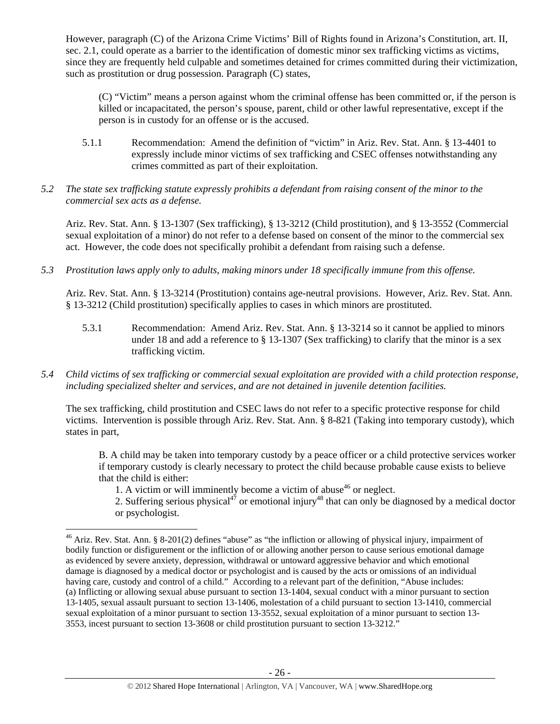However, paragraph (C) of the Arizona Crime Victims' Bill of Rights found in Arizona's Constitution, art. II, sec. 2.1, could operate as a barrier to the identification of domestic minor sex trafficking victims as victims, since they are frequently held culpable and sometimes detained for crimes committed during their victimization, such as prostitution or drug possession. Paragraph (C) states,

(C) "Victim" means a person against whom the criminal offense has been committed or, if the person is killed or incapacitated, the person's spouse, parent, child or other lawful representative, except if the person is in custody for an offense or is the accused.

- 5.1.1 Recommendation: Amend the definition of "victim" in Ariz. Rev. Stat. Ann. § 13-4401 to expressly include minor victims of sex trafficking and CSEC offenses notwithstanding any crimes committed as part of their exploitation.
- *5.2 The state sex trafficking statute expressly prohibits a defendant from raising consent of the minor to the commercial sex acts as a defense.*

Ariz. Rev. Stat. Ann. § 13-1307 (Sex trafficking), § 13-3212 (Child prostitution), and § 13-3552 (Commercial sexual exploitation of a minor) do not refer to a defense based on consent of the minor to the commercial sex act. However, the code does not specifically prohibit a defendant from raising such a defense.

*5.3 Prostitution laws apply only to adults, making minors under 18 specifically immune from this offense.* 

Ariz. Rev. Stat. Ann. § 13-3214 (Prostitution) contains age-neutral provisions. However, Ariz. Rev. Stat. Ann. § 13-3212 (Child prostitution) specifically applies to cases in which minors are prostituted.

- 5.3.1 Recommendation: Amend Ariz. Rev. Stat. Ann. § 13-3214 so it cannot be applied to minors under 18 and add a reference to  $\S$  13-1307 (Sex trafficking) to clarify that the minor is a sex trafficking victim.
- *5.4 Child victims of sex trafficking or commercial sexual exploitation are provided with a child protection response, including specialized shelter and services, and are not detained in juvenile detention facilities.*

The sex trafficking, child prostitution and CSEC laws do not refer to a specific protective response for child victims. Intervention is possible through Ariz. Rev. Stat. Ann. § 8-821 (Taking into temporary custody), which states in part,

B. A child may be taken into temporary custody by a peace officer or a child protective services worker if temporary custody is clearly necessary to protect the child because probable cause exists to believe that the child is either:

1. A victim or will imminently become a victim of abuse  $46$  or neglect.

 $\overline{a}$ 

2. Suffering serious physical<sup>47</sup> or emotional injury<sup>48</sup> that can only be diagnosed by a medical doctor or psychologist.

<sup>&</sup>lt;sup>46</sup> Ariz. Rev. Stat. Ann. § 8-201(2) defines "abuse" as "the infliction or allowing of physical injury, impairment of bodily function or disfigurement or the infliction of or allowing another person to cause serious emotional damage as evidenced by severe anxiety, depression, withdrawal or untoward aggressive behavior and which emotional damage is diagnosed by a medical doctor or psychologist and is caused by the acts or omissions of an individual having care, custody and control of a child." According to a relevant part of the definition, "Abuse includes: (a) Inflicting or allowing sexual abuse pursuant to section 13-1404, sexual conduct with a minor pursuant to section 13-1405, sexual assault pursuant to section 13-1406, molestation of a child pursuant to section 13-1410, commercial sexual exploitation of a minor pursuant to section 13-3552, sexual exploitation of a minor pursuant to section 13- 3553, incest pursuant to section 13-3608 or child prostitution pursuant to section 13-3212."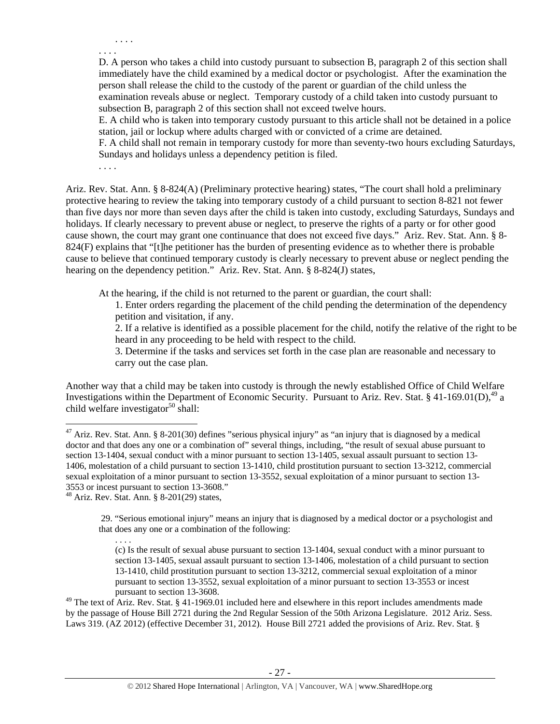. . . . . . . .

D. A person who takes a child into custody pursuant to subsection B, paragraph 2 of this section shall immediately have the child examined by a medical doctor or psychologist. After the examination the person shall release the child to the custody of the parent or guardian of the child unless the examination reveals abuse or neglect. Temporary custody of a child taken into custody pursuant to subsection B, paragraph 2 of this section shall not exceed twelve hours.

E. A child who is taken into temporary custody pursuant to this article shall not be detained in a police station, jail or lockup where adults charged with or convicted of a crime are detained.

F. A child shall not remain in temporary custody for more than seventy-two hours excluding Saturdays, Sundays and holidays unless a dependency petition is filed.

. . . .

Ariz. Rev. Stat. Ann. § 8-824(A) (Preliminary protective hearing) states, "The court shall hold a preliminary protective hearing to review the taking into temporary custody of a child pursuant to section 8-821 not fewer than five days nor more than seven days after the child is taken into custody, excluding Saturdays, Sundays and holidays. If clearly necessary to prevent abuse or neglect, to preserve the rights of a party or for other good cause shown, the court may grant one continuance that does not exceed five days." Ariz. Rev. Stat. Ann. § 8- 824(F) explains that "[t]he petitioner has the burden of presenting evidence as to whether there is probable cause to believe that continued temporary custody is clearly necessary to prevent abuse or neglect pending the hearing on the dependency petition." Ariz. Rev. Stat. Ann. § 8-824(J) states,

At the hearing, if the child is not returned to the parent or guardian, the court shall:

1. Enter orders regarding the placement of the child pending the determination of the dependency petition and visitation, if any.

2. If a relative is identified as a possible placement for the child, notify the relative of the right to be heard in any proceeding to be held with respect to the child.

3. Determine if the tasks and services set forth in the case plan are reasonable and necessary to carry out the case plan.

Another way that a child may be taken into custody is through the newly established Office of Child Welfare Investigations within the Department of Economic Security. Pursuant to Ariz. Rev. Stat. § 41-169.01(D),<sup>49</sup> a child welfare investigator<sup>50</sup> shall:

. . . .

<sup>&</sup>lt;sup>47</sup> Ariz. Rev. Stat. Ann. § 8-201(30) defines "serious physical injury" as "an injury that is diagnosed by a medical doctor and that does any one or a combination of" several things, including, "the result of sexual abuse pursuant to section 13-1404, sexual conduct with a minor pursuant to section 13-1405, sexual assault pursuant to section 13- 1406, molestation of a child pursuant to section 13-1410, child prostitution pursuant to section 13-3212, commercial sexual exploitation of a minor pursuant to section 13-3552, sexual exploitation of a minor pursuant to section 13- 3553 or incest pursuant to section 13-3608."

<sup>48</sup> Ariz. Rev. Stat. Ann. § 8-201(29) states,

 <sup>29. &</sup>quot;Serious emotional injury" means an injury that is diagnosed by a medical doctor or a psychologist and that does any one or a combination of the following:

<sup>(</sup>c) Is the result of sexual abuse pursuant to section 13-1404, sexual conduct with a minor pursuant to section 13-1405, sexual assault pursuant to section 13-1406, molestation of a child pursuant to section 13-1410, child prostitution pursuant to section 13-3212, commercial sexual exploitation of a minor pursuant to section 13-3552, sexual exploitation of a minor pursuant to section 13-3553 or incest pursuant to section 13-3608.

 $49$  The text of Ariz. Rev. Stat. § 41-1969.01 included here and elsewhere in this report includes amendments made by the passage of House Bill 2721 during the 2nd Regular Session of the 50th Arizona Legislature. 2012 Ariz. Sess. Laws 319. (AZ 2012) (effective December 31, 2012). House Bill 2721 added the provisions of Ariz. Rev. Stat. §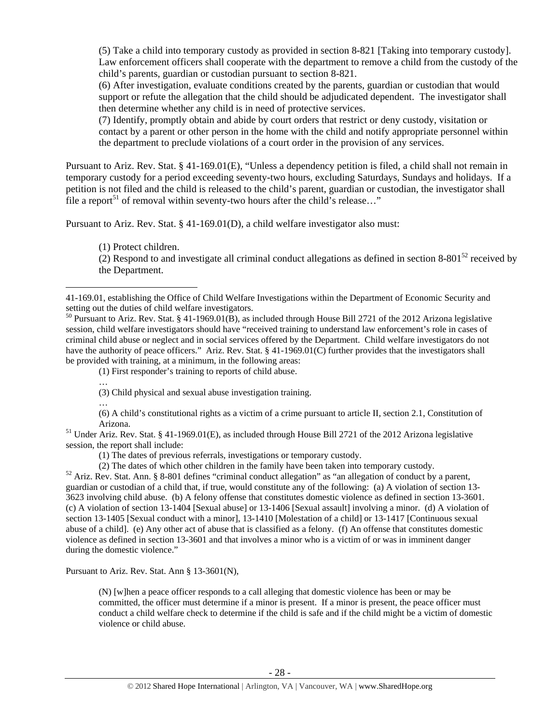(5) Take a child into temporary custody as provided in section 8-821 [Taking into temporary custody]. Law enforcement officers shall cooperate with the department to remove a child from the custody of the child's parents, guardian or custodian pursuant to section 8-821.

(6) After investigation, evaluate conditions created by the parents, guardian or custodian that would support or refute the allegation that the child should be adjudicated dependent. The investigator shall then determine whether any child is in need of protective services.

(7) Identify, promptly obtain and abide by court orders that restrict or deny custody, visitation or contact by a parent or other person in the home with the child and notify appropriate personnel within the department to preclude violations of a court order in the provision of any services.

Pursuant to Ariz. Rev. Stat. § 41-169.01(E), "Unless a dependency petition is filed, a child shall not remain in temporary custody for a period exceeding seventy-two hours, excluding Saturdays, Sundays and holidays. If a petition is not filed and the child is released to the child's parent, guardian or custodian, the investigator shall file a report<sup>51</sup> of removal within seventy-two hours after the child's release..."

Pursuant to Ariz. Rev. Stat. § 41-169.01(D), a child welfare investigator also must:

(1) Protect children.

 $\overline{a}$ 

…

(2) Respond to and investigate all criminal conduct allegations as defined in section 8-801 $^{52}$  received by the Department.

(1) First responder's training to reports of child abuse.

(3) Child physical and sexual abuse investigation training.

… (6) A child's constitutional rights as a victim of a crime pursuant to article II, section 2.1, Constitution of

Arizona.<br><sup>51</sup> Under Ariz. Rev. Stat. § 41-1969.01(E), as included through House Bill 2721 of the 2012 Arizona legislative session, the report shall include:

(1) The dates of previous referrals, investigations or temporary custody.

(2) The dates of which other children in the family have been taken into temporary custody. 52 Ariz. Rev. Stat. Ann. § 8-801 defines "criminal conduct allegation" as "an allegation of conduct by a parent, guardian or custodian of a child that, if true, would constitute any of the following: (a) A violation of section 13- 3623 involving child abuse. (b) A felony offense that constitutes domestic violence as defined in section 13-3601. (c) A violation of section 13-1404 [Sexual abuse] or 13-1406 [Sexual assault] involving a minor. (d) A violation of section 13-1405 [Sexual conduct with a minor], 13-1410 [Molestation of a child] or 13-1417 [Continuous sexual abuse of a child]. (e) Any other act of abuse that is classified as a felony. (f) An offense that constitutes domestic violence as defined in section 13-3601 and that involves a minor who is a victim of or was in imminent danger during the domestic violence."

Pursuant to Ariz. Rev. Stat. Ann § 13-3601(N),

(N) [w]hen a peace officer responds to a call alleging that domestic violence has been or may be committed, the officer must determine if a minor is present. If a minor is present, the peace officer must conduct a child welfare check to determine if the child is safe and if the child might be a victim of domestic violence or child abuse.

<sup>41-169.01,</sup> establishing the Office of Child Welfare Investigations within the Department of Economic Security and setting out the duties of child welfare investigators.

<sup>50</sup> Pursuant to Ariz. Rev. Stat. § 41-1969.01(B), as included through House Bill 2721 of the 2012 Arizona legislative session, child welfare investigators should have "received training to understand law enforcement's role in cases of criminal child abuse or neglect and in social services offered by the Department. Child welfare investigators do not have the authority of peace officers." Ariz. Rev. Stat. § 41-1969.01(C) further provides that the investigators shall be provided with training, at a minimum, in the following areas: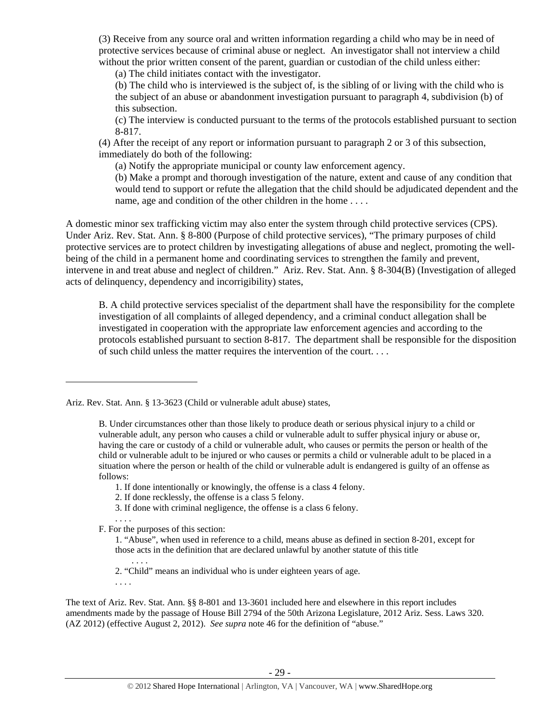(3) Receive from any source oral and written information regarding a child who may be in need of protective services because of criminal abuse or neglect. An investigator shall not interview a child without the prior written consent of the parent, guardian or custodian of the child unless either:

(a) The child initiates contact with the investigator.

(b) The child who is interviewed is the subject of, is the sibling of or living with the child who is the subject of an abuse or abandonment investigation pursuant to paragraph 4, subdivision (b) of this subsection.

(c) The interview is conducted pursuant to the terms of the protocols established pursuant to section 8-817.

(4) After the receipt of any report or information pursuant to paragraph 2 or 3 of this subsection, immediately do both of the following:

(a) Notify the appropriate municipal or county law enforcement agency.

(b) Make a prompt and thorough investigation of the nature, extent and cause of any condition that would tend to support or refute the allegation that the child should be adjudicated dependent and the name, age and condition of the other children in the home . . . .

A domestic minor sex trafficking victim may also enter the system through child protective services (CPS). Under Ariz. Rev. Stat. Ann. § 8-800 (Purpose of child protective services), "The primary purposes of child protective services are to protect children by investigating allegations of abuse and neglect, promoting the wellbeing of the child in a permanent home and coordinating services to strengthen the family and prevent, intervene in and treat abuse and neglect of children." Ariz. Rev. Stat. Ann. § 8-304(B) (Investigation of alleged acts of delinquency, dependency and incorrigibility) states,

B. A child protective services specialist of the department shall have the responsibility for the complete investigation of all complaints of alleged dependency, and a criminal conduct allegation shall be investigated in cooperation with the appropriate law enforcement agencies and according to the protocols established pursuant to section 8-817. The department shall be responsible for the disposition of such child unless the matter requires the intervention of the court. . . .

3. If done with criminal negligence, the offense is a class 6 felony.

. . . . F. For the purposes of this section:

. . . .

 $\overline{a}$ 

The text of Ariz. Rev. Stat. Ann. §§ 8-801 and 13-3601 included here and elsewhere in this report includes amendments made by the passage of House Bill 2794 of the 50th Arizona Legislature, 2012 Ariz. Sess. Laws 320. (AZ 2012) (effective August 2, 2012). *See supra* note 46 for the definition of "abuse."

Ariz. Rev. Stat. Ann. § 13-3623 (Child or vulnerable adult abuse) states,

B. Under circumstances other than those likely to produce death or serious physical injury to a child or vulnerable adult, any person who causes a child or vulnerable adult to suffer physical injury or abuse or, having the care or custody of a child or vulnerable adult, who causes or permits the person or health of the child or vulnerable adult to be injured or who causes or permits a child or vulnerable adult to be placed in a situation where the person or health of the child or vulnerable adult is endangered is guilty of an offense as follows:

<sup>1.</sup> If done intentionally or knowingly, the offense is a class 4 felony.

<sup>2.</sup> If done recklessly, the offense is a class 5 felony.

<sup>1. &</sup>quot;Abuse", when used in reference to a child, means abuse as defined in section 8-201, except for those acts in the definition that are declared unlawful by another statute of this title

<sup>2. &</sup>quot;Child" means an individual who is under eighteen years of age.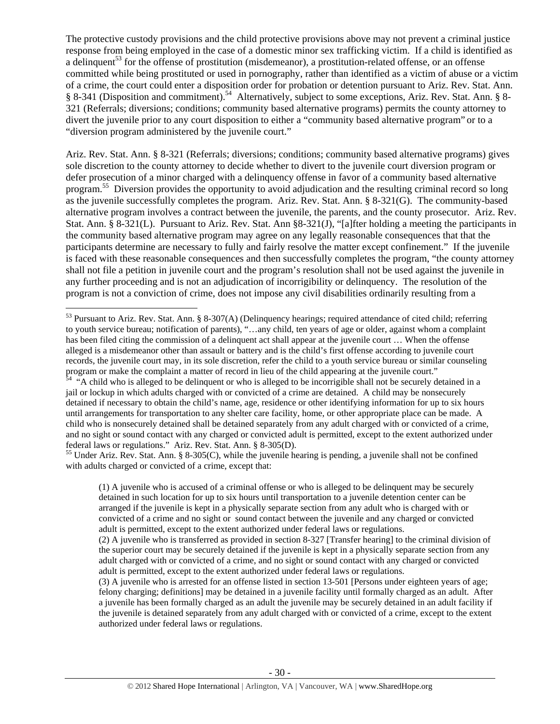The protective custody provisions and the child protective provisions above may not prevent a criminal justice response from being employed in the case of a domestic minor sex trafficking victim. If a child is identified as a delinquent<sup>53</sup> for the offense of prostitution (misdemeanor), a prostitution-related offense, or an offense committed while being prostituted or used in pornography, rather than identified as a victim of abuse or a victim of a crime, the court could enter a disposition order for probation or detention pursuant to Ariz. Rev. Stat. Ann. § 8-341 (Disposition and commitment).54 Alternatively, subject to some exceptions, Ariz. Rev. Stat. Ann. § 8- 321 (Referrals; diversions; conditions; community based alternative programs) permits the county attorney to divert the juvenile prior to any court disposition to either a "community based alternative program" or to a "diversion program administered by the juvenile court."

Ariz. Rev. Stat. Ann. § 8-321 (Referrals; diversions; conditions; community based alternative programs) gives sole discretion to the county attorney to decide whether to divert to the juvenile court diversion program or defer prosecution of a minor charged with a delinquency offense in favor of a community based alternative program.55 Diversion provides the opportunity to avoid adjudication and the resulting criminal record so long as the juvenile successfully completes the program. Ariz. Rev. Stat. Ann. § 8-321(G). The community-based alternative program involves a contract between the juvenile, the parents, and the county prosecutor. Ariz. Rev. Stat. Ann. § 8-321(L). Pursuant to Ariz. Rev. Stat. Ann §8-321(J), "[a]fter holding a meeting the participants in the community based alternative program may agree on any legally reasonable consequences that that the participants determine are necessary to fully and fairly resolve the matter except confinement." If the juvenile is faced with these reasonable consequences and then successfully completes the program, "the county attorney shall not file a petition in juvenile court and the program's resolution shall not be used against the juvenile in any further proceeding and is not an adjudication of incorrigibility or delinquency. The resolution of the program is not a conviction of crime, does not impose any civil disabilities ordinarily resulting from a

 $\overline{a}$ 

<sup>55</sup> Under Ariz. Rev. Stat. Ann. § 8-305(C), while the juvenile hearing is pending, a juvenile shall not be confined with adults charged or convicted of a crime, except that:

(1) A juvenile who is accused of a criminal offense or who is alleged to be delinquent may be securely detained in such location for up to six hours until transportation to a juvenile detention center can be arranged if the juvenile is kept in a physically separate section from any adult who is charged with or convicted of a crime and no sight or sound contact between the juvenile and any charged or convicted adult is permitted, except to the extent authorized under federal laws or regulations.

<sup>&</sup>lt;sup>53</sup> Pursuant to Ariz. Rev. Stat. Ann. § 8-307(A) (Delinquency hearings; required attendance of cited child; referring to youth service bureau; notification of parents), "…any child, ten years of age or older, against whom a complaint has been filed citing the commission of a delinquent act shall appear at the juvenile court … When the offense alleged is a misdemeanor other than assault or battery and is the child's first offense according to juvenile court records, the juvenile court may, in its sole discretion, refer the child to a youth service bureau or similar counseling program or make the complaint a matter of record in lieu of the child appearing at the juvenile court."

 $54$  "A child who is alleged to be delinquent or who is alleged to be incorrigible shall not be securely detained in a jail or lockup in which adults charged with or convicted of a crime are detained. A child may be nonsecurely detained if necessary to obtain the child's name, age, residence or other identifying information for up to six hours until arrangements for transportation to any shelter care facility, home, or other appropriate place can be made. A child who is nonsecurely detained shall be detained separately from any adult charged with or convicted of a crime, and no sight or sound contact with any charged or convicted adult is permitted, except to the extent authorized under federal laws or regulations." Ariz. Rev. Stat. Ann. § 8-305(D).

<sup>(2)</sup> A juvenile who is transferred as provided in section 8-327 [Transfer hearing] to the criminal division of the superior court may be securely detained if the juvenile is kept in a physically separate section from any adult charged with or convicted of a crime, and no sight or sound contact with any charged or convicted adult is permitted, except to the extent authorized under federal laws or regulations.

<sup>(3)</sup> A juvenile who is arrested for an offense listed in section 13-501 [Persons under eighteen years of age; felony charging; definitions] may be detained in a juvenile facility until formally charged as an adult. After a juvenile has been formally charged as an adult the juvenile may be securely detained in an adult facility if the juvenile is detained separately from any adult charged with or convicted of a crime, except to the extent authorized under federal laws or regulations.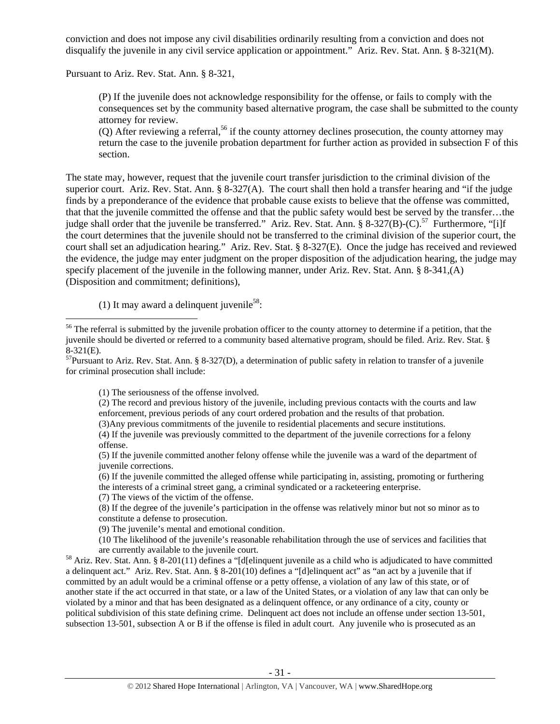conviction and does not impose any civil disabilities ordinarily resulting from a conviction and does not disqualify the juvenile in any civil service application or appointment." Ariz. Rev. Stat. Ann. § 8-321(M).

Pursuant to Ariz. Rev. Stat. Ann. § 8-321,

(P) If the juvenile does not acknowledge responsibility for the offense, or fails to comply with the consequences set by the community based alternative program, the case shall be submitted to the county attorney for review.

(Q) After reviewing a referral,<sup>56</sup> if the county attorney declines prosecution, the county attorney may return the case to the juvenile probation department for further action as provided in subsection F of this section.

The state may, however, request that the juvenile court transfer jurisdiction to the criminal division of the superior court. Ariz. Rev. Stat. Ann.  $\S 8-327(A)$ . The court shall then hold a transfer hearing and "if the judge" finds by a preponderance of the evidence that probable cause exists to believe that the offense was committed, that that the juvenile committed the offense and that the public safety would best be served by the transfer…the judge shall order that the juvenile be transferred." Ariz. Rev. Stat. Ann. § 8-327(B)-(C).<sup>57</sup> Furthermore, "[i]f the court determines that the juvenile should not be transferred to the criminal division of the superior court, the court shall set an adjudication hearing." Ariz. Rev. Stat. § 8-327(E). Once the judge has received and reviewed the evidence, the judge may enter judgment on the proper disposition of the adjudication hearing, the judge may specify placement of the juvenile in the following manner, under Ariz. Rev. Stat. Ann. § 8-341,(A) (Disposition and commitment; definitions),

(1) It may award a delinquent juvenile<sup>58</sup>:

 $\overline{a}$ 

(1) The seriousness of the offense involved.

(2) The record and previous history of the juvenile, including previous contacts with the courts and law enforcement, previous periods of any court ordered probation and the results of that probation.

(3)Any previous commitments of the juvenile to residential placements and secure institutions.

(4) If the juvenile was previously committed to the department of the juvenile corrections for a felony offense.

(5) If the juvenile committed another felony offense while the juvenile was a ward of the department of juvenile corrections.

(6) If the juvenile committed the alleged offense while participating in, assisting, promoting or furthering the interests of a criminal street gang, a criminal syndicated or a racketeering enterprise.

(7) The views of the victim of the offense.

(8) If the degree of the juvenile's participation in the offense was relatively minor but not so minor as to constitute a defense to prosecution.

(9) The juvenile's mental and emotional condition.

(10 The likelihood of the juvenile's reasonable rehabilitation through the use of services and facilities that are currently available to the juvenile court.<br><sup>58</sup> Ariz. Rev. Stat. Ann. § 8-201(11) defines a "[d[elinquent juvenile as a child who is adjudicated to have committed

a delinquent act." Ariz. Rev. Stat. Ann. § 8-201(10) defines a "[d]elinquent act" as "an act by a juvenile that if committed by an adult would be a criminal offense or a petty offense, a violation of any law of this state, or of another state if the act occurred in that state, or a law of the United States, or a violation of any law that can only be violated by a minor and that has been designated as a delinquent offence, or any ordinance of a city, county or political subdivision of this state defining crime. Delinquent act does not include an offense under section 13-501, subsection 13-501, subsection A or B if the offense is filed in adult court. Any juvenile who is prosecuted as an

<sup>&</sup>lt;sup>56</sup> The referral is submitted by the juvenile probation officer to the county attorney to determine if a petition, that the juvenile should be diverted or referred to a community based alternative program, should be filed. Ariz. Rev. Stat. § 8-321(E).

 $57$ Pursuant to Ariz. Rev. Stat. Ann. § 8-327(D), a determination of public safety in relation to transfer of a juvenile for criminal prosecution shall include: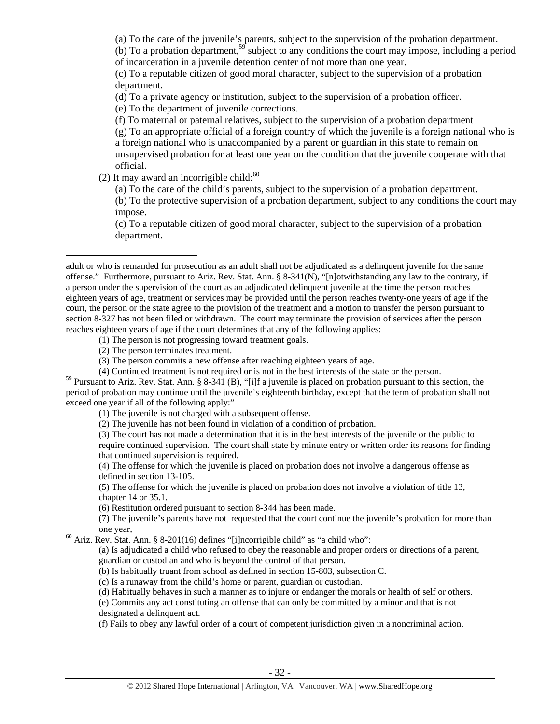(a) To the care of the juvenile's parents, subject to the supervision of the probation department.

(b) To a probation department,<sup>59</sup> subject to any conditions the court may impose, including a period of incarceration in a juvenile detention center of not more than one year.

(c) To a reputable citizen of good moral character, subject to the supervision of a probation department.

(d) To a private agency or institution, subject to the supervision of a probation officer.

(e) To the department of juvenile corrections.

(f) To maternal or paternal relatives, subject to the supervision of a probation department

(g) To an appropriate official of a foreign country of which the juvenile is a foreign national who is a foreign national who is unaccompanied by a parent or guardian in this state to remain on unsupervised probation for at least one year on the condition that the juvenile cooperate with that official.

(2) It may award an incorrigible child: $60$ 

(a) To the care of the child's parents, subject to the supervision of a probation department.

(b) To the protective supervision of a probation department, subject to any conditions the court may impose.

(c) To a reputable citizen of good moral character, subject to the supervision of a probation department.

(1) The person is not progressing toward treatment goals.

(2) The person terminates treatment.

 $\overline{a}$ 

(4) Continued treatment is not required or is not in the best interests of the state or the person.

<sup>59</sup> Pursuant to Ariz. Rev. Stat. Ann. § 8-341 (B), "[i]f a juvenile is placed on probation pursuant to this section, the period of probation may continue until the juvenile's eighteenth birthday, except that the term of probation shall not exceed one year if all of the following apply:"

(1) The juvenile is not charged with a subsequent offense.

(2) The juvenile has not been found in violation of a condition of probation.

(3) The court has not made a determination that it is in the best interests of the juvenile or the public to require continued supervision. The court shall state by minute entry or written order its reasons for finding that continued supervision is required.

(4) The offense for which the juvenile is placed on probation does not involve a dangerous offense as defined in section 13-105.

(5) The offense for which the juvenile is placed on probation does not involve a violation of title 13, chapter 14 or 35.1.

(6) Restitution ordered pursuant to section 8-344 has been made.

(7) The juvenile's parents have not requested that the court continue the juvenile's probation for more than

one year,<br><sup>60</sup> Ariz. Rev. Stat. Ann. § 8-201(16) defines "[i]ncorrigible child" as "a child who":

(a) Is adjudicated a child who refused to obey the reasonable and proper orders or directions of a parent, guardian or custodian and who is beyond the control of that person.

(b) Is habitually truant from school as defined in section 15-803, subsection C.

(c) Is a runaway from the child's home or parent, guardian or custodian.

(d) Habitually behaves in such a manner as to injure or endanger the morals or health of self or others.

(e) Commits any act constituting an offense that can only be committed by a minor and that is not designated a delinquent act.

(f) Fails to obey any lawful order of a court of competent jurisdiction given in a noncriminal action.

adult or who is remanded for prosecution as an adult shall not be adjudicated as a delinquent juvenile for the same offense." Furthermore, pursuant to Ariz. Rev. Stat. Ann. § 8-341(N), "[n]otwithstanding any law to the contrary, if a person under the supervision of the court as an adjudicated delinquent juvenile at the time the person reaches eighteen years of age, treatment or services may be provided until the person reaches twenty-one years of age if the court, the person or the state agree to the provision of the treatment and a motion to transfer the person pursuant to section 8-327 has not been filed or withdrawn. The court may terminate the provision of services after the person reaches eighteen years of age if the court determines that any of the following applies:

<sup>(3)</sup> The person commits a new offense after reaching eighteen years of age.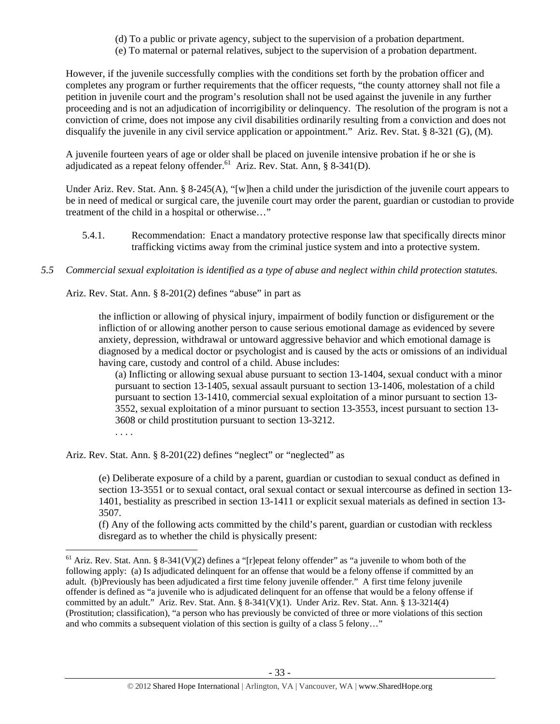- (d) To a public or private agency, subject to the supervision of a probation department.
- (e) To maternal or paternal relatives, subject to the supervision of a probation department.

However, if the juvenile successfully complies with the conditions set forth by the probation officer and completes any program or further requirements that the officer requests, "the county attorney shall not file a petition in juvenile court and the program's resolution shall not be used against the juvenile in any further proceeding and is not an adjudication of incorrigibility or delinquency. The resolution of the program is not a conviction of crime, does not impose any civil disabilities ordinarily resulting from a conviction and does not disqualify the juvenile in any civil service application or appointment." Ariz. Rev. Stat. § 8-321 (G), (M).

A juvenile fourteen years of age or older shall be placed on juvenile intensive probation if he or she is adjudicated as a repeat felony offender.<sup>61</sup> Ariz. Rev. Stat. Ann, § 8-341(D).

Under Ariz. Rev. Stat. Ann. § 8-245(A), "[w]hen a child under the jurisdiction of the juvenile court appears to be in need of medical or surgical care, the juvenile court may order the parent, guardian or custodian to provide treatment of the child in a hospital or otherwise…"

- 5.4.1. Recommendation: Enact a mandatory protective response law that specifically directs minor trafficking victims away from the criminal justice system and into a protective system.
- *5.5 Commercial sexual exploitation is identified as a type of abuse and neglect within child protection statutes.*

Ariz. Rev. Stat. Ann. § 8-201(2) defines "abuse" in part as

the infliction or allowing of physical injury, impairment of bodily function or disfigurement or the infliction of or allowing another person to cause serious emotional damage as evidenced by severe anxiety, depression, withdrawal or untoward aggressive behavior and which emotional damage is diagnosed by a medical doctor or psychologist and is caused by the acts or omissions of an individual having care, custody and control of a child. Abuse includes:

(a) Inflicting or allowing sexual abuse pursuant to section 13-1404, sexual conduct with a minor pursuant to section 13-1405, sexual assault pursuant to section 13-1406, molestation of a child pursuant to section 13-1410, commercial sexual exploitation of a minor pursuant to section 13- 3552, sexual exploitation of a minor pursuant to section 13-3553, incest pursuant to section 13- 3608 or child prostitution pursuant to section 13-3212.

. . . .

 $\overline{a}$ 

Ariz. Rev. Stat. Ann. § 8-201(22) defines "neglect" or "neglected" as

(e) Deliberate exposure of a child by a parent, guardian or custodian to sexual conduct as defined in section 13-3551 or to sexual contact, oral sexual contact or sexual intercourse as defined in section 13- 1401, bestiality as prescribed in section 13-1411 or explicit sexual materials as defined in section 13- 3507.

(f) Any of the following acts committed by the child's parent, guardian or custodian with reckless disregard as to whether the child is physically present:

<sup>&</sup>lt;sup>61</sup> Ariz. Rev. Stat. Ann. § 8-341(V)(2) defines a "[r]epeat felony offender" as "a juvenile to whom both of the following apply: (a) Is adjudicated delinquent for an offense that would be a felony offense if committed by an adult. (b)Previously has been adjudicated a first time felony juvenile offender." A first time felony juvenile offender is defined as "a juvenile who is adjudicated delinquent for an offense that would be a felony offense if committed by an adult." Ariz. Rev. Stat. Ann. § 8-341(V)(1). Under Ariz. Rev. Stat. Ann. § 13-3214(4) (Prostitution; classification), "a person who has previously be convicted of three or more violations of this section and who commits a subsequent violation of this section is guilty of a class 5 felony…"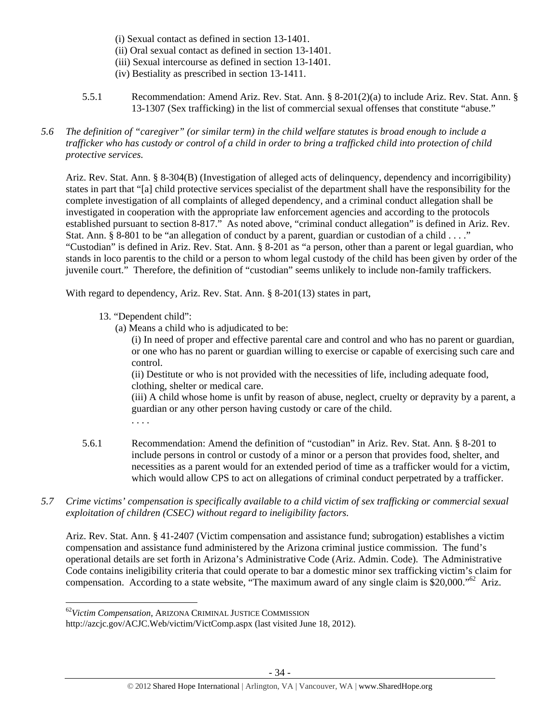- (i) Sexual contact as defined in section 13-1401.
- (ii) Oral sexual contact as defined in section 13-1401.
- (iii) Sexual intercourse as defined in section 13-1401.
- (iv) Bestiality as prescribed in section 13-1411.
- 5.5.1 Recommendation: Amend Ariz. Rev. Stat. Ann. § 8-201(2)(a) to include Ariz. Rev. Stat. Ann. § 13-1307 (Sex trafficking) in the list of commercial sexual offenses that constitute "abuse."
- *5.6 The definition of "caregiver" (or similar term) in the child welfare statutes is broad enough to include a trafficker who has custody or control of a child in order to bring a trafficked child into protection of child protective services.*

Ariz. Rev. Stat. Ann. § 8-304(B) (Investigation of alleged acts of delinquency, dependency and incorrigibility) states in part that "[a] child protective services specialist of the department shall have the responsibility for the complete investigation of all complaints of alleged dependency, and a criminal conduct allegation shall be investigated in cooperation with the appropriate law enforcement agencies and according to the protocols established pursuant to section 8-817." As noted above, "criminal conduct allegation" is defined in Ariz. Rev. Stat. Ann. § 8-801 to be "an allegation of conduct by a parent, guardian or custodian of a child . . . ." "Custodian" is defined in Ariz. Rev. Stat. Ann. § 8-201 as "a person, other than a parent or legal guardian, who stands in loco parentis to the child or a person to whom legal custody of the child has been given by order of the juvenile court." Therefore, the definition of "custodian" seems unlikely to include non-family traffickers.

With regard to dependency, Ariz. Rev. Stat. Ann. § 8-201(13) states in part,

- 13. "Dependent child":
	- (a) Means a child who is adjudicated to be:

(i) In need of proper and effective parental care and control and who has no parent or guardian, or one who has no parent or guardian willing to exercise or capable of exercising such care and control.

(ii) Destitute or who is not provided with the necessities of life, including adequate food, clothing, shelter or medical care.

(iii) A child whose home is unfit by reason of abuse, neglect, cruelty or depravity by a parent, a guardian or any other person having custody or care of the child.

. . . .

 $\overline{a}$ 

- 5.6.1 Recommendation: Amend the definition of "custodian" in Ariz. Rev. Stat. Ann. § 8-201 to include persons in control or custody of a minor or a person that provides food, shelter, and necessities as a parent would for an extended period of time as a trafficker would for a victim, which would allow CPS to act on allegations of criminal conduct perpetrated by a trafficker.
- *5.7 Crime victims' compensation is specifically available to a child victim of sex trafficking or commercial sexual exploitation of children (CSEC) without regard to ineligibility factors.*

Ariz. Rev. Stat. Ann. § 41-2407 (Victim compensation and assistance fund; subrogation) establishes a victim compensation and assistance fund administered by the Arizona criminal justice commission. The fund's operational details are set forth in Arizona's Administrative Code (Ariz. Admin. Code). The Administrative Code contains ineligibility criteria that could operate to bar a domestic minor sex trafficking victim's claim for compensation. According to a state website, "The maximum award of any single claim is \$20,000."62 Ariz.

<sup>62</sup>*Victim Compensation*, ARIZONA CRIMINAL JUSTICE COMMISSION

http://azcjc.gov/ACJC.Web/victim/VictComp.aspx (last visited June 18, 2012).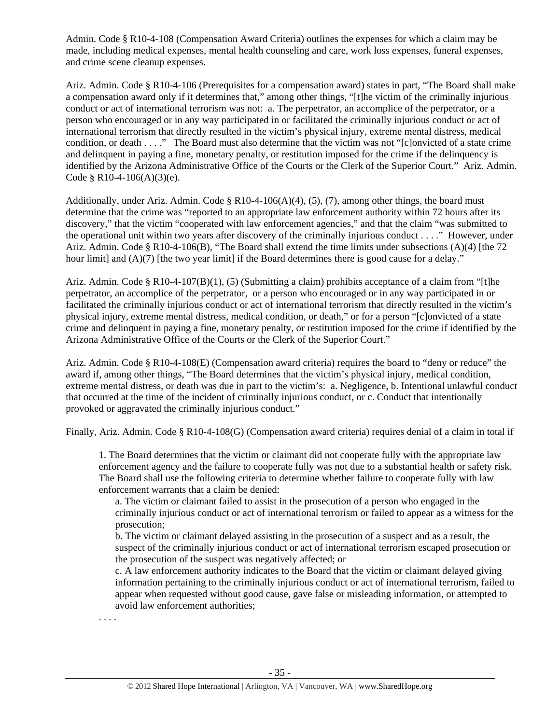Admin. Code § R10-4-108 (Compensation Award Criteria) outlines the expenses for which a claim may be made, including medical expenses, mental health counseling and care, work loss expenses, funeral expenses, and crime scene cleanup expenses.

Ariz. Admin. Code § R10-4-106 (Prerequisites for a compensation award) states in part, "The Board shall make a compensation award only if it determines that," among other things, "[t]he victim of the criminally injurious conduct or act of international terrorism was not: a. The perpetrator, an accomplice of the perpetrator, or a person who encouraged or in any way participated in or facilitated the criminally injurious conduct or act of international terrorism that directly resulted in the victim's physical injury, extreme mental distress, medical condition, or death . . . ." The Board must also determine that the victim was not "[c]onvicted of a state crime and delinquent in paying a fine, monetary penalty, or restitution imposed for the crime if the delinquency is identified by the Arizona Administrative Office of the Courts or the Clerk of the Superior Court." Ariz. Admin. Code § R10-4-106(A)(3)(e).

Additionally, under Ariz. Admin. Code § R10-4-106(A)(4), (5), (7), among other things, the board must determine that the crime was "reported to an appropriate law enforcement authority within 72 hours after its discovery," that the victim "cooperated with law enforcement agencies," and that the claim "was submitted to the operational unit within two years after discovery of the criminally injurious conduct . . . ." However, under Ariz. Admin. Code § R10-4-106(B), "The Board shall extend the time limits under subsections (A)(4) [the 72 hour limit] and  $(A)(7)$  [the two year limit] if the Board determines there is good cause for a delay."

Ariz. Admin. Code § R10-4-107(B)(1), (5) (Submitting a claim) prohibits acceptance of a claim from "[t]he perpetrator, an accomplice of the perpetrator, or a person who encouraged or in any way participated in or facilitated the criminally injurious conduct or act of international terrorism that directly resulted in the victim's physical injury, extreme mental distress, medical condition, or death," or for a person "[c]onvicted of a state crime and delinquent in paying a fine, monetary penalty, or restitution imposed for the crime if identified by the Arizona Administrative Office of the Courts or the Clerk of the Superior Court."

Ariz. Admin. Code § R10-4-108(E) (Compensation award criteria) requires the board to "deny or reduce" the award if, among other things, "The Board determines that the victim's physical injury, medical condition, extreme mental distress, or death was due in part to the victim's: a. Negligence, b. Intentional unlawful conduct that occurred at the time of the incident of criminally injurious conduct, or c. Conduct that intentionally provoked or aggravated the criminally injurious conduct."

Finally, Ariz. Admin. Code § R10-4-108(G) (Compensation award criteria) requires denial of a claim in total if

1. The Board determines that the victim or claimant did not cooperate fully with the appropriate law enforcement agency and the failure to cooperate fully was not due to a substantial health or safety risk. The Board shall use the following criteria to determine whether failure to cooperate fully with law enforcement warrants that a claim be denied:

a. The victim or claimant failed to assist in the prosecution of a person who engaged in the criminally injurious conduct or act of international terrorism or failed to appear as a witness for the prosecution;

b. The victim or claimant delayed assisting in the prosecution of a suspect and as a result, the suspect of the criminally injurious conduct or act of international terrorism escaped prosecution or the prosecution of the suspect was negatively affected; or

c. A law enforcement authority indicates to the Board that the victim or claimant delayed giving information pertaining to the criminally injurious conduct or act of international terrorism, failed to appear when requested without good cause, gave false or misleading information, or attempted to avoid law enforcement authorities;

. . . .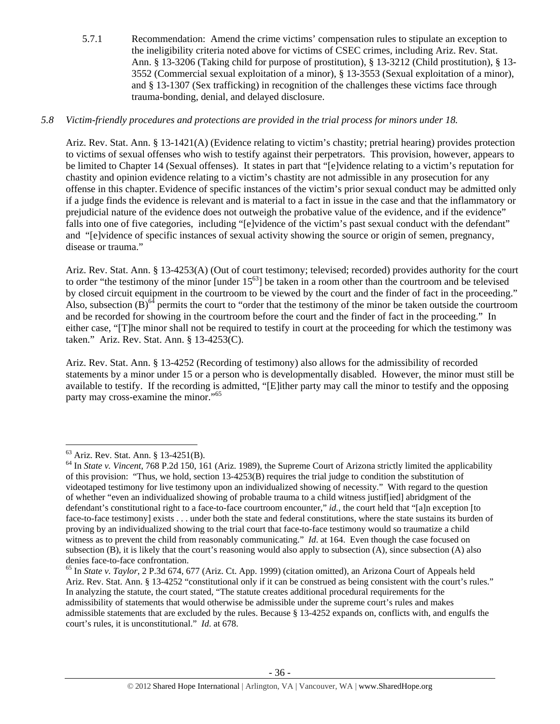5.7.1 Recommendation: Amend the crime victims' compensation rules to stipulate an exception to the ineligibility criteria noted above for victims of CSEC crimes, including Ariz. Rev. Stat. Ann. § 13-3206 (Taking child for purpose of prostitution), § 13-3212 (Child prostitution), § 13- 3552 (Commercial sexual exploitation of a minor), § 13-3553 (Sexual exploitation of a minor), and § 13-1307 (Sex trafficking) in recognition of the challenges these victims face through trauma-bonding, denial, and delayed disclosure.

## *5.8 Victim-friendly procedures and protections are provided in the trial process for minors under 18.*

Ariz. Rev. Stat. Ann. § 13-1421(A) (Evidence relating to victim's chastity; pretrial hearing) provides protection to victims of sexual offenses who wish to testify against their perpetrators. This provision, however, appears to be limited to Chapter 14 (Sexual offenses). It states in part that "[e]vidence relating to a victim's reputation for chastity and opinion evidence relating to a victim's chastity are not admissible in any prosecution for any offense in this chapter. Evidence of specific instances of the victim's prior sexual conduct may be admitted only if a judge finds the evidence is relevant and is material to a fact in issue in the case and that the inflammatory or prejudicial nature of the evidence does not outweigh the probative value of the evidence, and if the evidence" falls into one of five categories, including "[e]vidence of the victim's past sexual conduct with the defendant" and "[e]vidence of specific instances of sexual activity showing the source or origin of semen, pregnancy, disease or trauma."

Ariz. Rev. Stat. Ann. § 13-4253(A) (Out of court testimony; televised; recorded) provides authority for the court to order "the testimony of the minor [under  $15^{63}$ ] be taken in a room other than the courtroom and be televised by closed circuit equipment in the courtroom to be viewed by the court and the finder of fact in the proceeding." Also, subsection  $(B)$ <sup>64</sup> permits the court to "order that the testimony of the minor be taken outside the courtroom and be recorded for showing in the courtroom before the court and the finder of fact in the proceeding." In either case, "[T]he minor shall not be required to testify in court at the proceeding for which the testimony was taken." Ariz. Rev. Stat. Ann. § 13-4253(C).

Ariz. Rev. Stat. Ann. § 13-4252 (Recording of testimony) also allows for the admissibility of recorded statements by a minor under 15 or a person who is developmentally disabled. However, the minor must still be available to testify. If the recording is admitted, "[E]ither party may call the minor to testify and the opposing party may cross-examine the minor."<sup>65</sup>

<sup>63</sup> Ariz. Rev. Stat. Ann. § 13-4251(B).

<sup>64</sup> In *State v. Vincent*, 768 P.2d 150, 161 (Ariz. 1989), the Supreme Court of Arizona strictly limited the applicability of this provision: "Thus, we hold, section 13-4253(B) requires the trial judge to condition the substitution of videotaped testimony for live testimony upon an individualized showing of necessity." With regard to the question of whether "even an individualized showing of probable trauma to a child witness justif[ied] abridgment of the defendant's constitutional right to a face-to-face courtroom encounter," *id.*, the court held that "[a]n exception [to face-to-face testimony] exists . . . under both the state and federal constitutions, where the state sustains its burden of proving by an individualized showing to the trial court that face-to-face testimony would so traumatize a child witness as to prevent the child from reasonably communicating." *Id.* at 164. Even though the case focused on subsection (B), it is likely that the court's reasoning would also apply to subsection (A), since subsection (A) also denies face-to-face confrontation.

<sup>65</sup> In *State v. Taylor*, 2 P.3d 674, 677 (Ariz. Ct. App. 1999) (citation omitted), an Arizona Court of Appeals held Ariz. Rev. Stat. Ann. § 13-4252 "constitutional only if it can be construed as being consistent with the court's rules." In analyzing the statute, the court stated, "The statute creates additional procedural requirements for the admissibility of statements that would otherwise be admissible under the supreme court's rules and makes admissible statements that are excluded by the rules. Because § 13-4252 expands on, conflicts with, and engulfs the court's rules, it is unconstitutional." *Id*. at 678.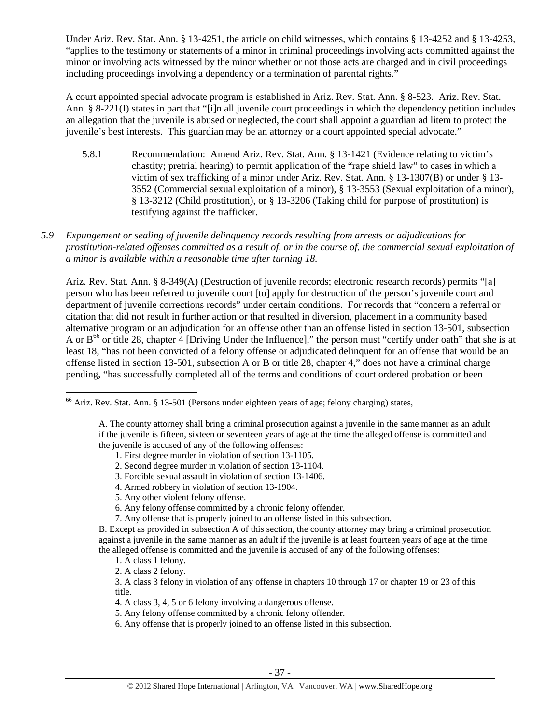Under Ariz. Rev. Stat. Ann. § 13-4251, the article on child witnesses, which contains § 13-4252 and § 13-4253, "applies to the testimony or statements of a minor in criminal proceedings involving acts committed against the minor or involving acts witnessed by the minor whether or not those acts are charged and in civil proceedings including proceedings involving a dependency or a termination of parental rights."

A court appointed special advocate program is established in Ariz. Rev. Stat. Ann. § 8-523. Ariz. Rev. Stat. Ann. § 8-221(I) states in part that "[i]n all juvenile court proceedings in which the dependency petition includes an allegation that the juvenile is abused or neglected, the court shall appoint a guardian ad litem to protect the juvenile's best interests. This guardian may be an attorney or a court appointed special advocate."

- 5.8.1 Recommendation: Amend Ariz. Rev. Stat. Ann. § 13-1421 (Evidence relating to victim's chastity; pretrial hearing) to permit application of the "rape shield law" to cases in which a victim of sex trafficking of a minor under Ariz. Rev. Stat. Ann. § 13-1307(B) or under § 13- 3552 (Commercial sexual exploitation of a minor), § 13-3553 (Sexual exploitation of a minor), § 13-3212 (Child prostitution), or § 13-3206 (Taking child for purpose of prostitution) is testifying against the trafficker.
- *5.9 Expungement or sealing of juvenile delinquency records resulting from arrests or adjudications for prostitution-related offenses committed as a result of, or in the course of, the commercial sexual exploitation of a minor is available within a reasonable time after turning 18.*

Ariz. Rev. Stat. Ann. § 8-349(A) (Destruction of juvenile records; electronic research records) permits "[a] person who has been referred to juvenile court [to] apply for destruction of the person's juvenile court and department of juvenile corrections records" under certain conditions. For records that "concern a referral or citation that did not result in further action or that resulted in diversion, placement in a community based alternative program or an adjudication for an offense other than an offense listed in section 13-501, subsection A or  $B^{66}$  or title 28, chapter 4 [Driving Under the Influence]," the person must "certify under oath" that she is at least 18, "has not been convicted of a felony offense or adjudicated delinquent for an offense that would be an offense listed in section 13-501, subsection A or B or title 28, chapter 4," does not have a criminal charge pending, "has successfully completed all of the terms and conditions of court ordered probation or been

<sup>&</sup>lt;sup>66</sup> Ariz. Rev. Stat. Ann. § 13-501 (Persons under eighteen years of age; felony charging) states,

A. The county attorney shall bring a criminal prosecution against a juvenile in the same manner as an adult if the juvenile is fifteen, sixteen or seventeen years of age at the time the alleged offense is committed and the juvenile is accused of any of the following offenses:

<sup>1.</sup> First degree murder in violation of section 13-1105.

<sup>2.</sup> Second degree murder in violation of section 13-1104.

<sup>3.</sup> Forcible sexual assault in violation of section 13-1406.

<sup>4.</sup> Armed robbery in violation of section 13-1904.

<sup>5.</sup> Any other violent felony offense.

<sup>6.</sup> Any felony offense committed by a chronic felony offender.

<sup>7.</sup> Any offense that is properly joined to an offense listed in this subsection.

B. Except as provided in subsection A of this section, the county attorney may bring a criminal prosecution against a juvenile in the same manner as an adult if the juvenile is at least fourteen years of age at the time the alleged offense is committed and the juvenile is accused of any of the following offenses:

<sup>1.</sup> A class 1 felony.

<sup>2.</sup> A class 2 felony.

<sup>3.</sup> A class 3 felony in violation of any offense in chapters 10 through 17 or chapter 19 or 23 of this title.

<sup>4.</sup> A class 3, 4, 5 or 6 felony involving a dangerous offense.

<sup>5.</sup> Any felony offense committed by a chronic felony offender.

<sup>6.</sup> Any offense that is properly joined to an offense listed in this subsection.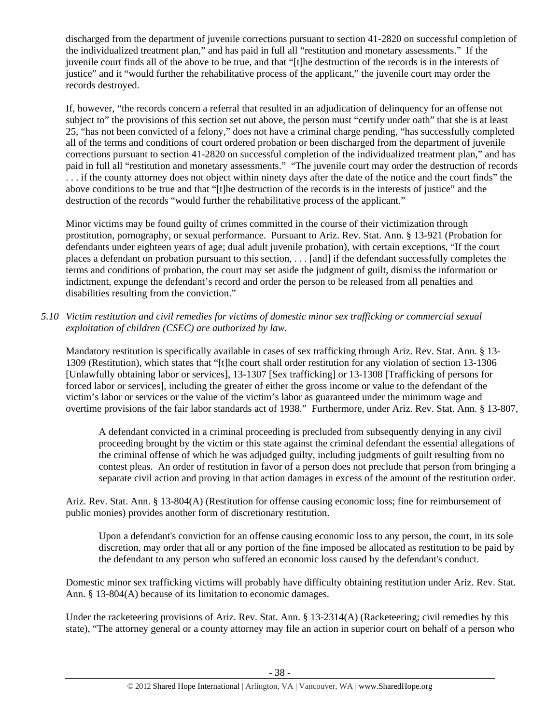discharged from the department of juvenile corrections pursuant to section 41-2820 on successful completion of the individualized treatment plan," and has paid in full all "restitution and monetary assessments." If the juvenile court finds all of the above to be true, and that "[t]he destruction of the records is in the interests of justice" and it "would further the rehabilitative process of the applicant," the juvenile court may order the records destroyed.

If, however, "the records concern a referral that resulted in an adjudication of delinquency for an offense not subject to" the provisions of this section set out above, the person must "certify under oath" that she is at least 25, "has not been convicted of a felony," does not have a criminal charge pending, "has successfully completed all of the terms and conditions of court ordered probation or been discharged from the department of juvenile corrections pursuant to section 41-2820 on successful completion of the individualized treatment plan," and has paid in full all "restitution and monetary assessments." "The juvenile court may order the destruction of records . . . if the county attorney does not object within ninety days after the date of the notice and the court finds" the above conditions to be true and that "[t]he destruction of the records is in the interests of justice" and the destruction of the records "would further the rehabilitative process of the applicant."

Minor victims may be found guilty of crimes committed in the course of their victimization through prostitution, pornography, or sexual performance. Pursuant to Ariz. Rev. Stat. Ann. § 13-921 (Probation for defendants under eighteen years of age; dual adult juvenile probation), with certain exceptions, "If the court places a defendant on probation pursuant to this section, . . . [and] if the defendant successfully completes the terms and conditions of probation, the court may set aside the judgment of guilt, dismiss the information or indictment, expunge the defendant's record and order the person to be released from all penalties and disabilities resulting from the conviction."

*5.10 Victim restitution and civil remedies for victims of domestic minor sex trafficking or commercial sexual exploitation of children (CSEC) are authorized by law.* 

Mandatory restitution is specifically available in cases of sex trafficking through Ariz. Rev. Stat. Ann. § 13- 1309 (Restitution), which states that "[t]he court shall order restitution for any violation of section 13-1306 [Unlawfully obtaining labor or services], 13-1307 [Sex trafficking] or 13-1308 [Trafficking of persons for forced labor or services], including the greater of either the gross income or value to the defendant of the victim's labor or services or the value of the victim's labor as guaranteed under the minimum wage and overtime provisions of the fair labor standards act of 1938." Furthermore, under Ariz. Rev. Stat. Ann. § 13-807,

A defendant convicted in a criminal proceeding is precluded from subsequently denying in any civil proceeding brought by the victim or this state against the criminal defendant the essential allegations of the criminal offense of which he was adjudged guilty, including judgments of guilt resulting from no contest pleas. An order of restitution in favor of a person does not preclude that person from bringing a separate civil action and proving in that action damages in excess of the amount of the restitution order.

Ariz. Rev. Stat. Ann. § 13-804(A) (Restitution for offense causing economic loss; fine for reimbursement of public monies) provides another form of discretionary restitution.

Upon a defendant's conviction for an offense causing economic loss to any person, the court, in its sole discretion, may order that all or any portion of the fine imposed be allocated as restitution to be paid by the defendant to any person who suffered an economic loss caused by the defendant's conduct.

Domestic minor sex trafficking victims will probably have difficulty obtaining restitution under Ariz. Rev. Stat. Ann. § 13-804(A) because of its limitation to economic damages.

Under the racketeering provisions of Ariz. Rev. Stat. Ann. § 13-2314(A) (Racketeering; civil remedies by this state), "The attorney general or a county attorney may file an action in superior court on behalf of a person who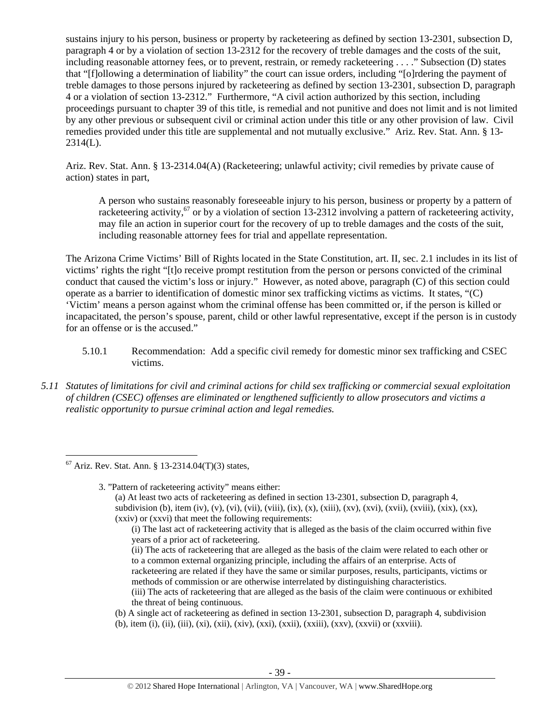sustains injury to his person, business or property by racketeering as defined by section 13-2301, subsection D, paragraph 4 or by a violation of section 13-2312 for the recovery of treble damages and the costs of the suit, including reasonable attorney fees, or to prevent, restrain, or remedy racketeering . . . ." Subsection (D) states that "[f]ollowing a determination of liability" the court can issue orders, including "[o]rdering the payment of treble damages to those persons injured by racketeering as defined by section 13-2301, subsection D, paragraph 4 or a violation of section 13-2312." Furthermore, "A civil action authorized by this section, including proceedings pursuant to chapter 39 of this title, is remedial and not punitive and does not limit and is not limited by any other previous or subsequent civil or criminal action under this title or any other provision of law. Civil remedies provided under this title are supplemental and not mutually exclusive." Ariz. Rev. Stat. Ann. § 13- 2314(L).

Ariz. Rev. Stat. Ann. § 13-2314.04(A) (Racketeering; unlawful activity; civil remedies by private cause of action) states in part,

A person who sustains reasonably foreseeable injury to his person, business or property by a pattern of racketeering activity,<sup>67</sup> or by a violation of section 13-2312 involving a pattern of racketeering activity, may file an action in superior court for the recovery of up to treble damages and the costs of the suit, including reasonable attorney fees for trial and appellate representation.

The Arizona Crime Victims' Bill of Rights located in the State Constitution, art. II, sec. 2.1 includes in its list of victims' rights the right "[t]o receive prompt restitution from the person or persons convicted of the criminal conduct that caused the victim's loss or injury." However, as noted above, paragraph (C) of this section could operate as a barrier to identification of domestic minor sex trafficking victims as victims. It states, "(C) 'Victim' means a person against whom the criminal offense has been committed or, if the person is killed or incapacitated, the person's spouse, parent, child or other lawful representative, except if the person is in custody for an offense or is the accused."

- 5.10.1 Recommendation: Add a specific civil remedy for domestic minor sex trafficking and CSEC victims.
- *5.11 Statutes of limitations for civil and criminal actions for child sex trafficking or commercial sexual exploitation of children (CSEC) offenses are eliminated or lengthened sufficiently to allow prosecutors and victims a realistic opportunity to pursue criminal action and legal remedies.*

 $\overline{a}$ 

3. "Pattern of racketeering activity" means either: (a) At least two acts of racketeering as defined in section 13-2301, subsection D, paragraph 4, subdivision (b), item (iv), (v), (vi), (vii), (viii), (ix),  $(x)$ ,  $(xii)$ ,  $(xv)$ ,  $(xvi)$ ,  $(xvii)$ ,  $(xviii)$ ,  $(xix)$ ,  $(xx)$ , (xxiv) or (xxvi) that meet the following requirements:

- (ii) The acts of racketeering that are alleged as the basis of the claim were related to each other or to a common external organizing principle, including the affairs of an enterprise. Acts of racketeering are related if they have the same or similar purposes, results, participants, victims or methods of commission or are otherwise interrelated by distinguishing characteristics. (iii) The acts of racketeering that are alleged as the basis of the claim were continuous or exhibited the threat of being continuous.
- (b) A single act of racketeering as defined in section 13-2301, subsection D, paragraph 4, subdivision
- (b), item (i), (ii), (iii), (xi), (xii), (xiv), (xxi), (xxii), (xxiii), (xxv), (xxvii) or (xxviii).

 $67$  Ariz. Rev. Stat. Ann. § 13-2314.04(T)(3) states,

<sup>(</sup>i) The last act of racketeering activity that is alleged as the basis of the claim occurred within five years of a prior act of racketeering.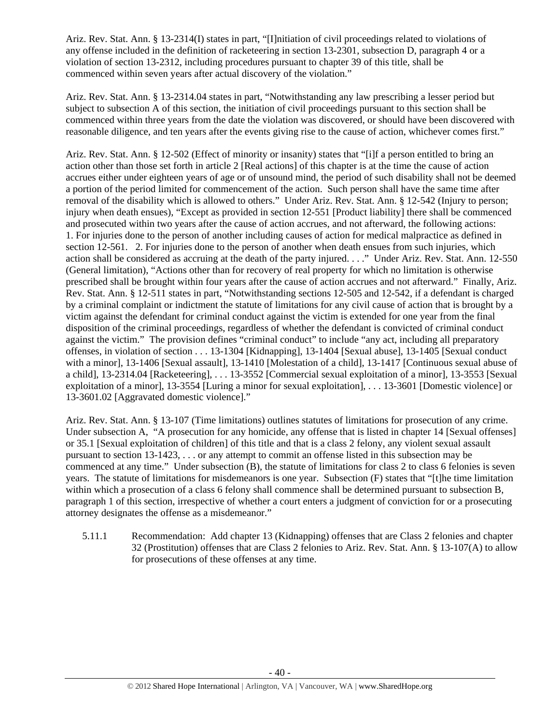Ariz. Rev. Stat. Ann. § 13-2314(I) states in part, "[I]nitiation of civil proceedings related to violations of any offense included in the definition of racketeering in section 13-2301, subsection D, paragraph 4 or a violation of section 13-2312, including procedures pursuant to chapter 39 of this title, shall be commenced within seven years after actual discovery of the violation."

Ariz. Rev. Stat. Ann. § 13-2314.04 states in part, "Notwithstanding any law prescribing a lesser period but subject to subsection A of this section, the initiation of civil proceedings pursuant to this section shall be commenced within three years from the date the violation was discovered, or should have been discovered with reasonable diligence, and ten years after the events giving rise to the cause of action, whichever comes first."

Ariz. Rev. Stat. Ann. § 12-502 (Effect of minority or insanity) states that "[i]f a person entitled to bring an action other than those set forth in article 2 [Real actions] of this chapter is at the time the cause of action accrues either under eighteen years of age or of unsound mind, the period of such disability shall not be deemed a portion of the period limited for commencement of the action. Such person shall have the same time after removal of the disability which is allowed to others." Under Ariz. Rev. Stat. Ann. § 12-542 (Injury to person; injury when death ensues), "Except as provided in section 12-551 [Product liability] there shall be commenced and prosecuted within two years after the cause of action accrues, and not afterward, the following actions: 1. For injuries done to the person of another including causes of action for medical malpractice as defined in section 12-561. 2. For injuries done to the person of another when death ensues from such injuries, which action shall be considered as accruing at the death of the party injured. . . ." Under Ariz. Rev. Stat. Ann. 12-550 (General limitation), "Actions other than for recovery of real property for which no limitation is otherwise prescribed shall be brought within four years after the cause of action accrues and not afterward." Finally, Ariz. Rev. Stat. Ann. § 12-511 states in part, "Notwithstanding sections 12-505 and 12-542, if a defendant is charged by a criminal complaint or indictment the statute of limitations for any civil cause of action that is brought by a victim against the defendant for criminal conduct against the victim is extended for one year from the final disposition of the criminal proceedings, regardless of whether the defendant is convicted of criminal conduct against the victim." The provision defines "criminal conduct" to include "any act, including all preparatory offenses, in violation of section . . . 13-1304 [Kidnapping], 13-1404 [Sexual abuse], 13-1405 [Sexual conduct with a minor], 13-1406 [Sexual assault], 13-1410 [Molestation of a child], 13-1417 [Continuous sexual abuse of a child], 13-2314.04 [Racketeering], . . . 13-3552 [Commercial sexual exploitation of a minor], 13-3553 [Sexual exploitation of a minor], 13-3554 [Luring a minor for sexual exploitation], . . . 13-3601 [Domestic violence] or 13-3601.02 [Aggravated domestic violence]."

Ariz. Rev. Stat. Ann. § 13-107 (Time limitations) outlines statutes of limitations for prosecution of any crime. Under subsection A, "A prosecution for any homicide, any offense that is listed in chapter 14 [Sexual offenses] or 35.1 [Sexual exploitation of children] of this title and that is a class 2 felony, any violent sexual assault pursuant to section 13-1423, . . . or any attempt to commit an offense listed in this subsection may be commenced at any time." Under subsection (B), the statute of limitations for class 2 to class 6 felonies is seven years. The statute of limitations for misdemeanors is one year. Subsection (F) states that "[t]he time limitation within which a prosecution of a class 6 felony shall commence shall be determined pursuant to subsection B. paragraph 1 of this section, irrespective of whether a court enters a judgment of conviction for or a prosecuting attorney designates the offense as a misdemeanor."

5.11.1 Recommendation: Add chapter 13 (Kidnapping) offenses that are Class 2 felonies and chapter 32 (Prostitution) offenses that are Class 2 felonies to Ariz. Rev. Stat. Ann. § 13-107(A) to allow for prosecutions of these offenses at any time.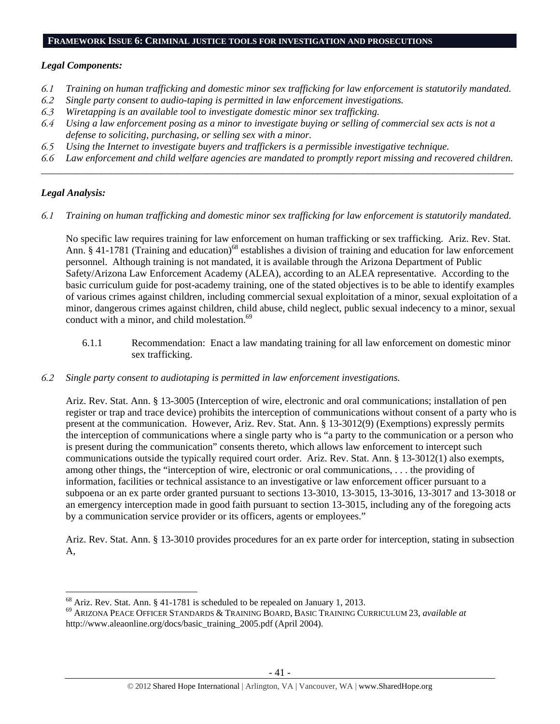#### **FRAMEWORK ISSUE 6: CRIMINAL JUSTICE TOOLS FOR INVESTIGATION AND PROSECUTIONS**

### *Legal Components:*

- *6.1 Training on human trafficking and domestic minor sex trafficking for law enforcement is statutorily mandated.*
- *6.2 Single party consent to audio-taping is permitted in law enforcement investigations.*
- *6.3 Wiretapping is an available tool to investigate domestic minor sex trafficking.*
- *6.4 Using a law enforcement posing as a minor to investigate buying or selling of commercial sex acts is not a defense to soliciting, purchasing, or selling sex with a minor.*
- *6.5 Using the Internet to investigate buyers and traffickers is a permissible investigative technique.*
- *6.6 Law enforcement and child welfare agencies are mandated to promptly report missing and recovered children. \_\_\_\_\_\_\_\_\_\_\_\_\_\_\_\_\_\_\_\_\_\_\_\_\_\_\_\_\_\_\_\_\_\_\_\_\_\_\_\_\_\_\_\_\_\_\_\_\_\_\_\_\_\_\_\_\_\_\_\_\_\_\_\_\_\_\_\_\_\_\_\_\_\_\_\_\_\_\_\_\_\_\_\_\_\_\_\_\_\_\_\_\_\_*

## *Legal Analysis:*

 $\overline{a}$ 

*6.1 Training on human trafficking and domestic minor sex trafficking for law enforcement is statutorily mandated.* 

No specific law requires training for law enforcement on human trafficking or sex trafficking. Ariz. Rev. Stat. Ann. § 41-1781 (Training and education)<sup>68</sup> establishes a division of training and education for law enforcement personnel. Although training is not mandated, it is available through the Arizona Department of Public Safety/Arizona Law Enforcement Academy (ALEA), according to an ALEA representative. According to the basic curriculum guide for post-academy training, one of the stated objectives is to be able to identify examples of various crimes against children, including commercial sexual exploitation of a minor, sexual exploitation of a minor, dangerous crimes against children, child abuse, child neglect, public sexual indecency to a minor, sexual conduct with a minor, and child molestation.<sup>69</sup>

- 6.1.1 Recommendation: Enact a law mandating training for all law enforcement on domestic minor sex trafficking.
- *6.2 Single party consent to audiotaping is permitted in law enforcement investigations.*

Ariz. Rev. Stat. Ann. § 13-3005 (Interception of wire, electronic and oral communications; installation of pen register or trap and trace device) prohibits the interception of communications without consent of a party who is present at the communication. However, Ariz. Rev. Stat. Ann. § 13-3012(9) (Exemptions) expressly permits the interception of communications where a single party who is "a party to the communication or a person who is present during the communication" consents thereto, which allows law enforcement to intercept such communications outside the typically required court order. Ariz. Rev. Stat. Ann. § 13-3012(1) also exempts, among other things, the "interception of wire, electronic or oral communications, . . . the providing of information, facilities or technical assistance to an investigative or law enforcement officer pursuant to a subpoena or an ex parte order granted pursuant to sections 13-3010, 13-3015, 13-3016, 13-3017 and 13-3018 or an emergency interception made in good faith pursuant to section 13-3015, including any of the foregoing acts by a communication service provider or its officers, agents or employees."

Ariz. Rev. Stat. Ann. § 13-3010 provides procedures for an ex parte order for interception, stating in subsection A,

 $68$  Ariz. Rev. Stat. Ann. § 41-1781 is scheduled to be repealed on January 1, 2013.

<sup>69</sup> ARIZONA PEACE OFFICER STANDARDS & TRAINING BOARD, BASIC TRAINING CURRICULUM 23, *available at* http://www.aleaonline.org/docs/basic\_training\_2005.pdf (April 2004).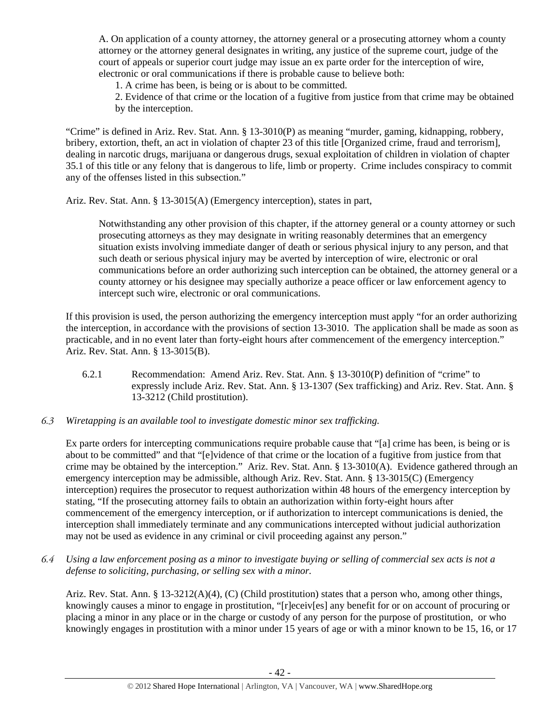A. On application of a county attorney, the attorney general or a prosecuting attorney whom a county attorney or the attorney general designates in writing, any justice of the supreme court, judge of the court of appeals or superior court judge may issue an ex parte order for the interception of wire, electronic or oral communications if there is probable cause to believe both:

1. A crime has been, is being or is about to be committed.

2. Evidence of that crime or the location of a fugitive from justice from that crime may be obtained by the interception.

"Crime" is defined in Ariz. Rev. Stat. Ann. § 13-3010(P) as meaning "murder, gaming, kidnapping, robbery, bribery, extortion, theft, an act in violation of chapter 23 of this title [Organized crime, fraud and terrorism], dealing in narcotic drugs, marijuana or dangerous drugs, sexual exploitation of children in violation of chapter 35.1 of this title or any felony that is dangerous to life, limb or property. Crime includes conspiracy to commit any of the offenses listed in this subsection."

Ariz. Rev. Stat. Ann. § 13-3015(A) (Emergency interception), states in part,

Notwithstanding any other provision of this chapter, if the attorney general or a county attorney or such prosecuting attorneys as they may designate in writing reasonably determines that an emergency situation exists involving immediate danger of death or serious physical injury to any person, and that such death or serious physical injury may be averted by interception of wire, electronic or oral communications before an order authorizing such interception can be obtained, the attorney general or a county attorney or his designee may specially authorize a peace officer or law enforcement agency to intercept such wire, electronic or oral communications.

If this provision is used, the person authorizing the emergency interception must apply "for an order authorizing the interception, in accordance with the provisions of section 13-3010. The application shall be made as soon as practicable, and in no event later than forty-eight hours after commencement of the emergency interception." Ariz. Rev. Stat. Ann. § 13-3015(B).

- 6.2.1 Recommendation: Amend Ariz. Rev. Stat. Ann. § 13-3010(P) definition of "crime" to expressly include Ariz. Rev. Stat. Ann. § 13-1307 (Sex trafficking) and Ariz. Rev. Stat. Ann. § 13-3212 (Child prostitution).
- *6.3 Wiretapping is an available tool to investigate domestic minor sex trafficking.*

Ex parte orders for intercepting communications require probable cause that "[a] crime has been, is being or is about to be committed" and that "[e]vidence of that crime or the location of a fugitive from justice from that crime may be obtained by the interception." Ariz. Rev. Stat. Ann. § 13-3010(A). Evidence gathered through an emergency interception may be admissible, although Ariz. Rev. Stat. Ann. § 13-3015(C) (Emergency interception) requires the prosecutor to request authorization within 48 hours of the emergency interception by stating, "If the prosecuting attorney fails to obtain an authorization within forty-eight hours after commencement of the emergency interception, or if authorization to intercept communications is denied, the interception shall immediately terminate and any communications intercepted without judicial authorization may not be used as evidence in any criminal or civil proceeding against any person."

*6.4 Using a law enforcement posing as a minor to investigate buying or selling of commercial sex acts is not a defense to soliciting, purchasing, or selling sex with a minor.* 

Ariz. Rev. Stat. Ann. § 13-3212(A)(4), (C) (Child prostitution) states that a person who, among other things, knowingly causes a minor to engage in prostitution, "[r]eceiv[es] any benefit for or on account of procuring or placing a minor in any place or in the charge or custody of any person for the purpose of prostitution, or who knowingly engages in prostitution with a minor under 15 years of age or with a minor known to be 15, 16, or 17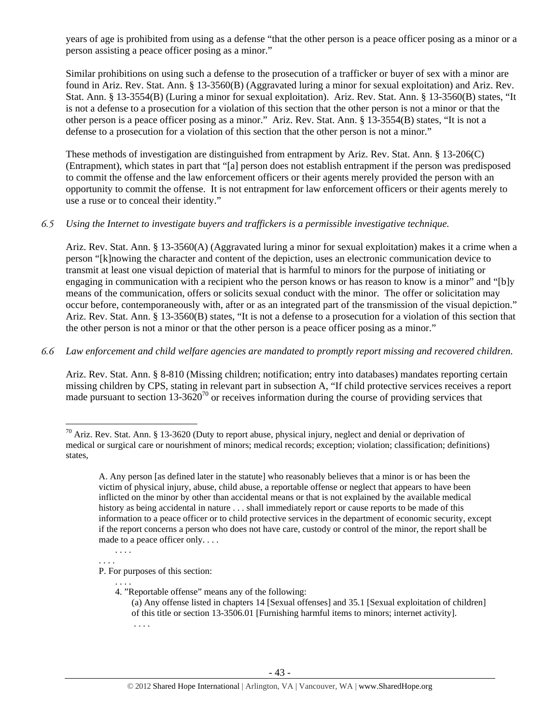years of age is prohibited from using as a defense "that the other person is a peace officer posing as a minor or a person assisting a peace officer posing as a minor."

Similar prohibitions on using such a defense to the prosecution of a trafficker or buyer of sex with a minor are found in Ariz. Rev. Stat. Ann. § 13-3560(B) (Aggravated luring a minor for sexual exploitation) and Ariz. Rev. Stat. Ann. § 13-3554(B) (Luring a minor for sexual exploitation). Ariz. Rev. Stat. Ann. § 13-3560(B) states, "It is not a defense to a prosecution for a violation of this section that the other person is not a minor or that the other person is a peace officer posing as a minor." Ariz. Rev. Stat. Ann. § 13-3554(B) states, "It is not a defense to a prosecution for a violation of this section that the other person is not a minor."

These methods of investigation are distinguished from entrapment by Ariz. Rev. Stat. Ann. § 13-206(C) (Entrapment), which states in part that "[a] person does not establish entrapment if the person was predisposed to commit the offense and the law enforcement officers or their agents merely provided the person with an opportunity to commit the offense. It is not entrapment for law enforcement officers or their agents merely to use a ruse or to conceal their identity."

#### *6.5 Using the Internet to investigate buyers and traffickers is a permissible investigative technique.*

Ariz. Rev. Stat. Ann. § 13-3560(A) (Aggravated luring a minor for sexual exploitation) makes it a crime when a person "[k]nowing the character and content of the depiction, uses an electronic communication device to transmit at least one visual depiction of material that is harmful to minors for the purpose of initiating or engaging in communication with a recipient who the person knows or has reason to know is a minor" and "[b]y means of the communication, offers or solicits sexual conduct with the minor. The offer or solicitation may occur before, contemporaneously with, after or as an integrated part of the transmission of the visual depiction." Ariz. Rev. Stat. Ann. § 13-3560(B) states, "It is not a defense to a prosecution for a violation of this section that the other person is not a minor or that the other person is a peace officer posing as a minor."

#### *6.6 Law enforcement and child welfare agencies are mandated to promptly report missing and recovered children.*

Ariz. Rev. Stat. Ann. § 8-810 (Missing children; notification; entry into databases) mandates reporting certain missing children by CPS, stating in relevant part in subsection A, "If child protective services receives a report made pursuant to section  $13-3620^{70}$  or receives information during the course of providing services that

. . . .

 $70$  Ariz. Rev. Stat. Ann. § 13-3620 (Duty to report abuse, physical injury, neglect and denial or deprivation of medical or surgical care or nourishment of minors; medical records; exception; violation; classification; definitions) states,

A. Any person [as defined later in the statute] who reasonably believes that a minor is or has been the victim of physical injury, abuse, child abuse, a reportable offense or neglect that appears to have been inflicted on the minor by other than accidental means or that is not explained by the available medical history as being accidental in nature . . . shall immediately report or cause reports to be made of this information to a peace officer or to child protective services in the department of economic security, except if the report concerns a person who does not have care, custody or control of the minor, the report shall be made to a peace officer only. . . .

<sup>. . . .</sup>  P. For purposes of this section:

<sup>. . . .</sup> 

<sup>4. &</sup>quot;Reportable offense" means any of the following: (a) Any offense listed in chapters 14 [Sexual offenses] and 35.1 [Sexual exploitation of children] of this title or section 13-3506.01 [Furnishing harmful items to minors; internet activity]. . . . .